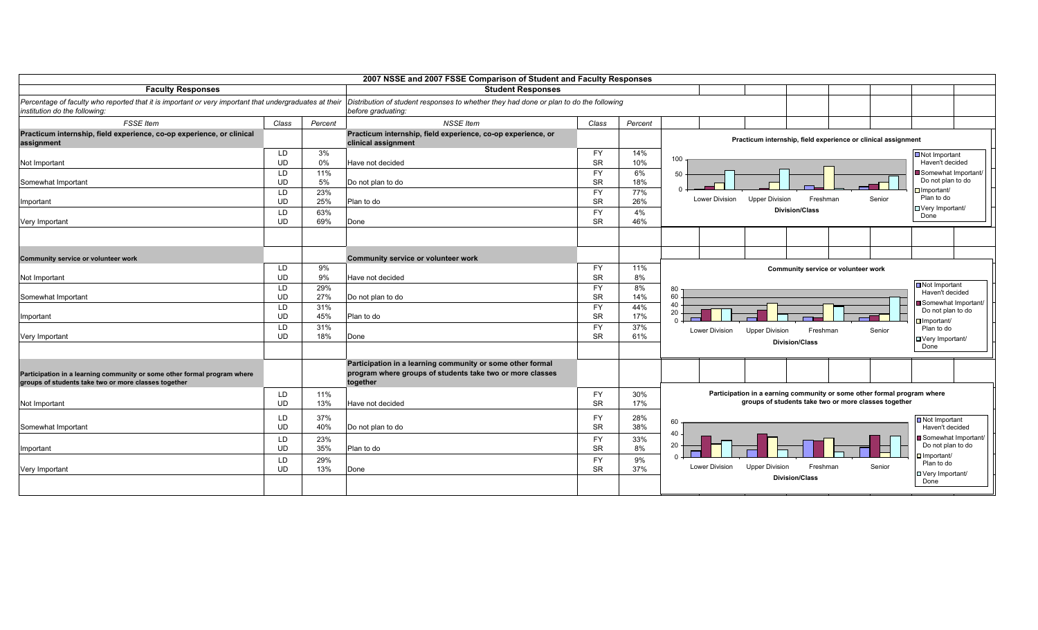|                                                                                                        |           |         | 2007 NSSE and 2007 FSSE Comparison of Student and Faculty Responses                    |           |         |                                                                                                  |
|--------------------------------------------------------------------------------------------------------|-----------|---------|----------------------------------------------------------------------------------------|-----------|---------|--------------------------------------------------------------------------------------------------|
| <b>Faculty Responses</b>                                                                               |           |         | <b>Student Responses</b>                                                               |           |         |                                                                                                  |
| Percentage of faculty who reported that it is important or very important that undergraduates at their |           |         | Distribution of student responses to whether they had done or plan to do the following |           |         |                                                                                                  |
| institution do the following:                                                                          |           |         | before graduating:                                                                     |           |         |                                                                                                  |
| <b>FSSE</b> Item                                                                                       | Class     | Percent | <b>NSSE</b> Item                                                                       | Class     | Percent |                                                                                                  |
| Practicum internship, field experience, co-op experience, or clinical                                  |           |         | Practicum internship, field experience, co-op experience, or                           |           |         |                                                                                                  |
| assignment                                                                                             |           |         | clinical assignment                                                                    |           |         | Practicum internship, field experience or clinical assignment                                    |
|                                                                                                        | <b>LD</b> | 3%      |                                                                                        | <b>FY</b> | 14%     | Not Important                                                                                    |
| Not Important                                                                                          | <b>UD</b> | $0\%$   | Have not decided                                                                       | <b>SR</b> | 10%     | 100<br>Haven't decided                                                                           |
|                                                                                                        | <b>LD</b> | 11%     |                                                                                        | <b>FY</b> | 6%      | Somewhat Important/<br>50                                                                        |
| Somewhat Important                                                                                     | <b>UD</b> | 5%      | Do not plan to do                                                                      | <b>SR</b> | 18%     | Do not plan to do                                                                                |
|                                                                                                        | LD        | 23%     |                                                                                        | <b>FY</b> | 77%     | $\Box$ Important/<br>Plan to do<br>Lower Division<br><b>Upper Division</b><br>Freshman<br>Senior |
| Important                                                                                              | <b>UD</b> | 25%     | Plan to do                                                                             | <b>SR</b> | 26%     | □ Very Important/                                                                                |
|                                                                                                        | LD.       | 63%     |                                                                                        | <b>FY</b> | 4%      | <b>Division/Class</b><br>Done                                                                    |
| Very Important                                                                                         | <b>UD</b> | 69%     | Done                                                                                   | <b>SR</b> | 46%     |                                                                                                  |
|                                                                                                        |           |         |                                                                                        |           |         |                                                                                                  |
|                                                                                                        |           |         |                                                                                        |           |         |                                                                                                  |
| Community service or volunteer work                                                                    |           |         | Community service or volunteer work                                                    |           |         |                                                                                                  |
|                                                                                                        | LD        | 9%      |                                                                                        | FY        | 11%     | Community service or volunteer work                                                              |
| Not Important                                                                                          | <b>UD</b> | 9%      | Have not decided                                                                       | <b>SR</b> | 8%      |                                                                                                  |
|                                                                                                        | LD        | 29%     |                                                                                        | <b>FY</b> | 8%      | Not Important<br>80                                                                              |
| Somewhat Important                                                                                     | <b>UD</b> | 27%     | Do not plan to do                                                                      | <b>SR</b> | 14%     | Haven't decided<br>60                                                                            |
|                                                                                                        | LD.       | 31%     |                                                                                        | <b>FY</b> | 44%     | Somewhat Important/<br>40                                                                        |
| Important                                                                                              | <b>UD</b> | 45%     | Plan to do                                                                             | <b>SR</b> | 17%     | Do not plan to do<br>20                                                                          |
|                                                                                                        | LD        | 31%     |                                                                                        | <b>FY</b> | 37%     | $\Box$ Important/<br>Plan to do                                                                  |
| Very Important                                                                                         | <b>UD</b> | 18%     | Done                                                                                   | <b>SR</b> | 61%     | <b>Lower Division</b><br>Freshman<br>Senior<br><b>Upper Division</b><br>□ Very Important/        |
|                                                                                                        |           |         |                                                                                        |           |         | <b>Division/Class</b><br>Done                                                                    |
|                                                                                                        |           |         |                                                                                        |           |         |                                                                                                  |
|                                                                                                        |           |         | Participation in a learning community or some other formal                             |           |         |                                                                                                  |
| Participation in a learning community or some other formal program where                               |           |         | program where groups of students take two or more classes                              |           |         |                                                                                                  |
| groups of students take two or more classes together                                                   |           |         | together                                                                               |           |         |                                                                                                  |
|                                                                                                        | <b>LD</b> | 11%     |                                                                                        | <b>FY</b> | 30%     | Participation in a earning community or some other formal program where                          |
| Not Important                                                                                          | <b>UD</b> | 13%     | Have not decided                                                                       | <b>SR</b> | 17%     | groups of students take two or more classes together                                             |
|                                                                                                        | LD        | 37%     |                                                                                        | <b>FY</b> | 28%     | Not Important                                                                                    |
| Somewhat Important                                                                                     | <b>UD</b> | 40%     | Do not plan to do                                                                      | <b>SR</b> | 38%     | 60<br>Haven't decided                                                                            |
|                                                                                                        | <b>LD</b> | 23%     |                                                                                        | <b>FY</b> | 33%     | 40<br>Somewhat Important/                                                                        |
| Important                                                                                              | <b>UD</b> | 35%     | Plan to do                                                                             | <b>SR</b> | 8%      | 20<br>Do not plan to do                                                                          |
|                                                                                                        | LD.       | 29%     |                                                                                        | <b>FY</b> | 9%      | $\Box$ Important/                                                                                |
| Very Important                                                                                         | UD        | 13%     | Done                                                                                   | <b>SR</b> | 37%     | Plan to do<br>Lower Division<br>Freshman<br>Senior<br><b>Upper Division</b>                      |
|                                                                                                        |           |         |                                                                                        |           |         | □ Very Important/<br><b>Division/Class</b><br>Done                                               |
|                                                                                                        |           |         |                                                                                        |           |         |                                                                                                  |
|                                                                                                        |           |         |                                                                                        |           |         |                                                                                                  |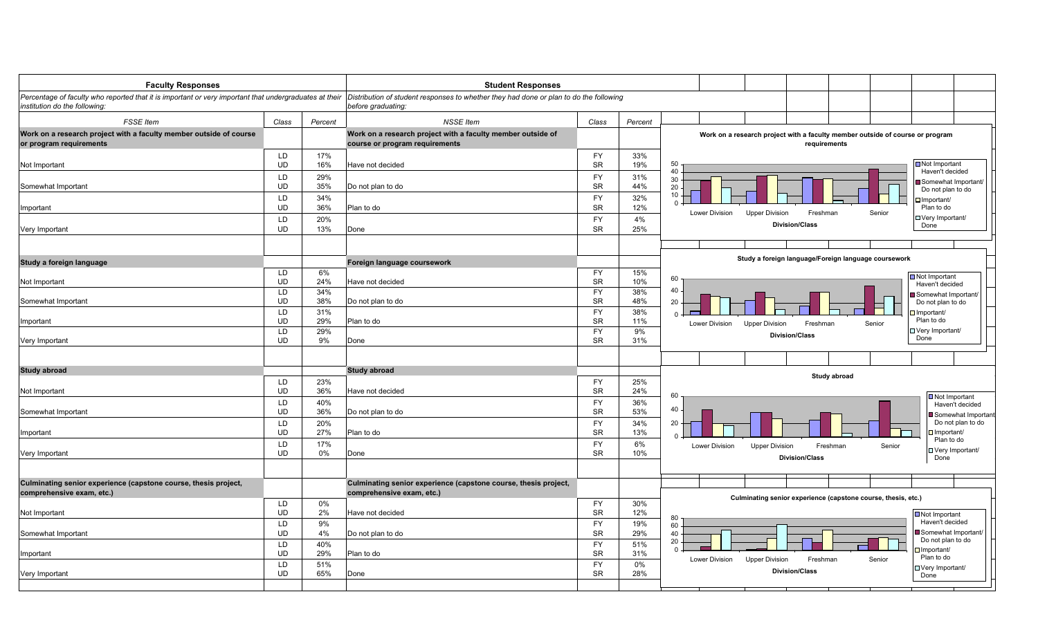| <b>Faculty Responses</b>                                                                               |           |         | <b>Student Responses</b>                                                                      |           |         |                                                                                                  |
|--------------------------------------------------------------------------------------------------------|-----------|---------|-----------------------------------------------------------------------------------------------|-----------|---------|--------------------------------------------------------------------------------------------------|
| Percentage of faculty who reported that it is important or very important that undergraduates at their |           |         | Distribution of student responses to whether they had done or plan to do the following        |           |         |                                                                                                  |
| institution do the following:                                                                          |           |         | before graduating:                                                                            |           |         |                                                                                                  |
|                                                                                                        |           |         |                                                                                               |           |         |                                                                                                  |
| <b>FSSE</b> Item                                                                                       | Class     | Percent | <b>NSSE Item</b>                                                                              | Class     | Percent |                                                                                                  |
| Work on a research project with a faculty member outside of course<br>or program requirements          |           |         | Work on a research project with a faculty member outside of<br>course or program requirements |           |         | Work on a research project with a faculty member outside of course or program<br>requirements    |
|                                                                                                        | LD        | 17%     |                                                                                               | <b>FY</b> | 33%     |                                                                                                  |
| Not Important                                                                                          | <b>UD</b> | 16%     | Have not decided                                                                              | <b>SR</b> | 19%     | Not Important<br>50<br>40<br>Haven't decided                                                     |
|                                                                                                        | LD        | 29%     |                                                                                               | <b>FY</b> | 31%     | 30<br>Somewhat Important/                                                                        |
| Somewhat Important                                                                                     | UD        | 35%     | Do not plan to do                                                                             | <b>SR</b> | 44%     | 20<br>Do not plan to do                                                                          |
|                                                                                                        | LD        | 34%     |                                                                                               | <b>FY</b> | 32%     | 10<br>Important/                                                                                 |
| Important                                                                                              | UD        | 36%     | Plan to do                                                                                    | <b>SR</b> | 12%     | Plan to do<br>Lower Division<br><b>Upper Division</b><br>Freshman<br>Senior                      |
|                                                                                                        | LD        | 20%     |                                                                                               | <b>FY</b> | 4%      | $\Box$ Very Important/                                                                           |
| Very Important                                                                                         | <b>UD</b> | 13%     | Done                                                                                          | <b>SR</b> | 25%     | <b>Division/Class</b><br>Done                                                                    |
|                                                                                                        |           |         |                                                                                               |           |         |                                                                                                  |
| Study a foreign language                                                                               |           |         | Foreign language coursework                                                                   |           |         | Study a foreign language/Foreign language coursework                                             |
|                                                                                                        | <b>LD</b> | 6%      |                                                                                               | <b>FY</b> | 15%     |                                                                                                  |
| Not Important                                                                                          | <b>UD</b> | 24%     | Have not decided                                                                              | <b>SR</b> | 10%     | Not Important<br>60<br>Haven't decided                                                           |
|                                                                                                        | LD        | 34%     |                                                                                               | <b>FY</b> | 38%     | 40<br>Somewhat Important/                                                                        |
| Somewhat Important                                                                                     | <b>UD</b> | 38%     | Do not plan to do                                                                             | <b>SR</b> | 48%     | 20<br>Do not plan to do                                                                          |
|                                                                                                        | LD        | 31%     |                                                                                               | <b>FY</b> | 38%     | $\Box$ Important/<br>$\Omega$                                                                    |
| Important                                                                                              | <b>UD</b> | 29%     | Plan to do                                                                                    | <b>SR</b> | 11%     | Plan to do<br><b>Lower Division</b><br><b>Upper Division</b><br>Freshman<br>Senior               |
|                                                                                                        | LD        | 29%     |                                                                                               | <b>FY</b> | 9%      | □ Very Important/<br><b>Division/Class</b>                                                       |
| Very Important                                                                                         | <b>UD</b> | 9%      | Done                                                                                          | <b>SR</b> | 31%     | Done                                                                                             |
|                                                                                                        |           |         |                                                                                               |           |         |                                                                                                  |
| <b>Study abroad</b>                                                                                    |           |         | <b>Study abroad</b>                                                                           |           |         |                                                                                                  |
|                                                                                                        | LD        | 23%     |                                                                                               | <b>FY</b> | 25%     | Study abroad                                                                                     |
| Not Important                                                                                          | <b>UD</b> | 36%     | Have not decided                                                                              | <b>SR</b> | 24%     |                                                                                                  |
|                                                                                                        | LD        | 40%     |                                                                                               | <b>FY</b> | 36%     | 60<br>Not Important<br>Haven't decided                                                           |
| Somewhat Important                                                                                     | <b>UD</b> | 36%     | Do not plan to do                                                                             | <b>SR</b> | 53%     | 40<br>Somewhat Important                                                                         |
|                                                                                                        | LD        | 20%     |                                                                                               | <b>FY</b> | 34%     | Do not plan to do<br>20                                                                          |
| Important                                                                                              | <b>UD</b> | 27%     | Plan to do                                                                                    | <b>SR</b> | 13%     | $\Box$ Important/<br>$\Omega$                                                                    |
|                                                                                                        | LD        | 17%     |                                                                                               | <b>FY</b> | 6%      | Plan to do<br><b>Lower Division</b><br><b>Upper Division</b><br>Freshman<br>Senior               |
| Very Important                                                                                         | <b>UD</b> | 0%      | Done                                                                                          | <b>SR</b> | 10%     | □ Very Important/                                                                                |
|                                                                                                        |           |         |                                                                                               |           |         | <b>Division/Class</b><br>Done                                                                    |
| Culminating senior experience (capstone course, thesis project,                                        |           |         | Culminating senior experience (capstone course, thesis project,                               |           |         |                                                                                                  |
| comprehensive exam, etc.)                                                                              |           |         | comprehensive exam, etc.)                                                                     |           |         |                                                                                                  |
|                                                                                                        | LD        | $0\%$   |                                                                                               | <b>FY</b> | 30%     | Culminating senior experience (capstone course, thesis, etc.)                                    |
| Not Important                                                                                          | UD        | 2%      | Have not decided                                                                              | <b>SR</b> | 12%     | Not Important                                                                                    |
|                                                                                                        | <b>LD</b> | 9%      |                                                                                               | <b>FY</b> | 19%     | 80<br>Haven't decided<br>60                                                                      |
| Somewhat Important                                                                                     | <b>UD</b> | 4%      | Do not plan to do                                                                             | <b>SR</b> | 29%     | Somewhat Important/<br>40                                                                        |
|                                                                                                        | <b>LD</b> | 40%     |                                                                                               | <b>FY</b> | 51%     | Do not plan to do<br>20                                                                          |
| Important                                                                                              | <b>UD</b> | 29%     | Plan to do                                                                                    | SR        | 31%     | $\Omega$<br>$\square$ Important/                                                                 |
|                                                                                                        | <b>LD</b> | 51%     |                                                                                               | <b>FY</b> | 0%      | Plan to do<br>Lower Division<br>Freshman<br><b>Upper Division</b><br>Senior<br>U Very Important/ |
| Very Important                                                                                         | <b>UD</b> | 65%     | Done                                                                                          | <b>SR</b> | 28%     | <b>Division/Class</b><br>Done                                                                    |
|                                                                                                        |           |         |                                                                                               |           |         |                                                                                                  |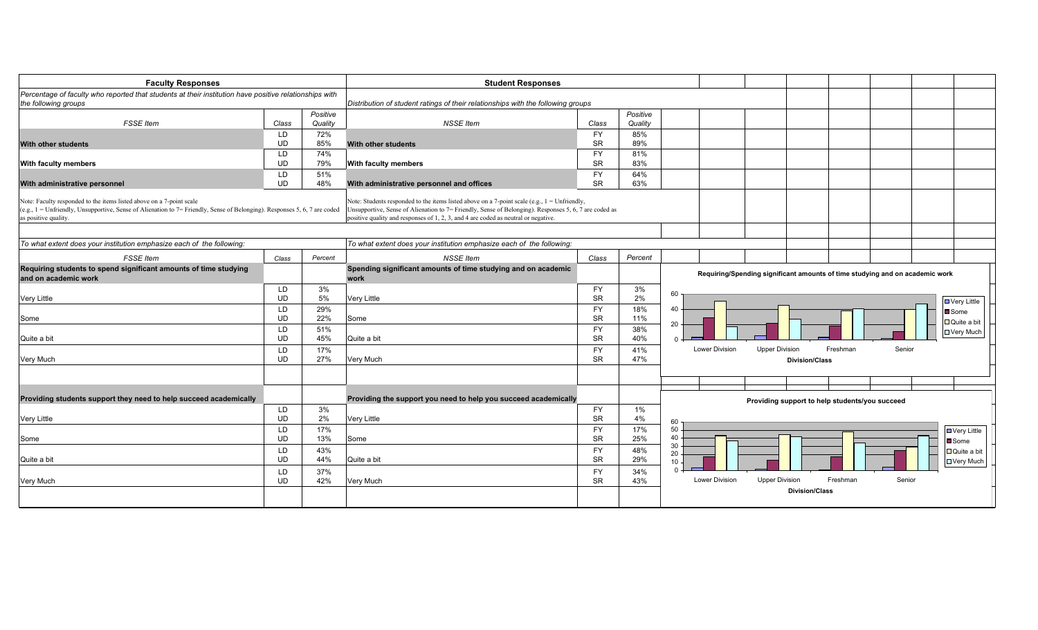| <b>Faculty Responses</b>                                                                                                                                                                                                   |                  |                     | <b>Student Responses</b>                                                                                                                                                                                                                                                                                 |                        |            |                                                                              |
|----------------------------------------------------------------------------------------------------------------------------------------------------------------------------------------------------------------------------|------------------|---------------------|----------------------------------------------------------------------------------------------------------------------------------------------------------------------------------------------------------------------------------------------------------------------------------------------------------|------------------------|------------|------------------------------------------------------------------------------|
| Percentage of faculty who reported that students at their institution have positive relationships with                                                                                                                     |                  |                     |                                                                                                                                                                                                                                                                                                          |                        |            |                                                                              |
| the following groups                                                                                                                                                                                                       |                  |                     | Distribution of student ratings of their relationships with the following groups                                                                                                                                                                                                                         |                        |            |                                                                              |
| <b>FSSE</b> Item                                                                                                                                                                                                           |                  | Positive<br>Quality | <b>NSSE Item</b>                                                                                                                                                                                                                                                                                         | Class                  | Positive   |                                                                              |
|                                                                                                                                                                                                                            | Class            |                     |                                                                                                                                                                                                                                                                                                          |                        | Quality    |                                                                              |
| With other students                                                                                                                                                                                                        | LD.<br><b>UD</b> | 72%<br>85%          | <b>With other students</b>                                                                                                                                                                                                                                                                               | <b>FY</b><br><b>SR</b> | 85%<br>89% |                                                                              |
|                                                                                                                                                                                                                            | <b>LD</b>        | 74%                 |                                                                                                                                                                                                                                                                                                          | <b>FY</b>              | 81%        |                                                                              |
| <b>With faculty members</b>                                                                                                                                                                                                | <b>UD</b>        | 79%                 | <b>With faculty members</b>                                                                                                                                                                                                                                                                              | <b>SR</b>              | 83%        |                                                                              |
|                                                                                                                                                                                                                            | LD.              | 51%                 |                                                                                                                                                                                                                                                                                                          | <b>FY</b>              | 64%        |                                                                              |
| With administrative personnel                                                                                                                                                                                              | <b>UD</b>        | 48%                 | With administrative personnel and offices                                                                                                                                                                                                                                                                | <b>SR</b>              | 63%        |                                                                              |
| Note: Faculty responded to the items listed above on a 7-point scale<br>(e.g., 1 = Unfriendly, Unsupportive, Sense of Alienation to 7 = Friendly, Sense of Belonging). Responses 5, 6, 7 are coded<br>as positive quality. |                  |                     | Note: Students responded to the items listed above on a 7-point scale (e.g., $1 = \text{Unfortunately}$ ,<br>Unsupportive, Sense of Alienation to 7= Friendly, Sense of Belonging). Responses 5, 6, 7 are coded as<br>positive quality and responses of 1, 2, 3, and 4 are coded as neutral or negative. |                        |            |                                                                              |
| To what extent does your institution emphasize each of the following:                                                                                                                                                      |                  |                     | To what extent does your institution emphasize each of the following:                                                                                                                                                                                                                                    |                        |            |                                                                              |
| <b>FSSE</b> Item                                                                                                                                                                                                           | Class            | Percent             | <b>NSSE Item</b>                                                                                                                                                                                                                                                                                         | Class                  | Percent    |                                                                              |
| Requiring students to spend significant amounts of time studying<br>and on academic work                                                                                                                                   |                  |                     | Spending significant amounts of time studying and on academic<br>work                                                                                                                                                                                                                                    |                        |            | Requiring/Spending significant amounts of time studying and on academic work |
|                                                                                                                                                                                                                            | <b>LD</b>        | 3%                  |                                                                                                                                                                                                                                                                                                          | <b>FY</b>              | 3%         | 60                                                                           |
| <b>Very Little</b>                                                                                                                                                                                                         | <b>UD</b>        | 5%                  | <b>Very Little</b>                                                                                                                                                                                                                                                                                       | <b>SR</b>              | 2%         | $\Box$ Very Little                                                           |
|                                                                                                                                                                                                                            | LD               | 29%                 |                                                                                                                                                                                                                                                                                                          | <b>FY</b>              | 18%        | 40<br><b>■</b> Some                                                          |
| Some                                                                                                                                                                                                                       | UD               | 22%                 | Some                                                                                                                                                                                                                                                                                                     | <b>SR</b>              | 11%        | □ Quite a bit<br>20                                                          |
| Quite a bit                                                                                                                                                                                                                | LD.<br><b>UD</b> | 51%<br>45%          | Quite a bit                                                                                                                                                                                                                                                                                              | <b>FY</b><br><b>SR</b> | 38%<br>40% | <b>□ Very Much</b><br>$\Omega$                                               |
|                                                                                                                                                                                                                            |                  |                     |                                                                                                                                                                                                                                                                                                          |                        |            | Senior<br><b>Lower Division</b><br><b>Upper Division</b><br>Freshman         |
| Very Much                                                                                                                                                                                                                  | LD<br>UD         | 17%<br>27%          | Very Much                                                                                                                                                                                                                                                                                                | <b>FY</b><br><b>SR</b> | 41%<br>47% | <b>Division/Class</b>                                                        |
|                                                                                                                                                                                                                            |                  |                     |                                                                                                                                                                                                                                                                                                          |                        |            |                                                                              |
|                                                                                                                                                                                                                            |                  |                     |                                                                                                                                                                                                                                                                                                          |                        |            |                                                                              |
| Providing students support they need to help succeed academically                                                                                                                                                          |                  |                     | Providing the support you need to help you succeed academically                                                                                                                                                                                                                                          |                        |            | Providing support to help students/you succeed                               |
|                                                                                                                                                                                                                            | <b>LD</b>        | 3%                  |                                                                                                                                                                                                                                                                                                          | <b>FY</b>              | $1\%$      |                                                                              |
| <b>Very Little</b>                                                                                                                                                                                                         | UD               | 2%                  | <b>Very Little</b>                                                                                                                                                                                                                                                                                       | SR                     | 4%         | 60                                                                           |
|                                                                                                                                                                                                                            | LD               | 17%                 |                                                                                                                                                                                                                                                                                                          | <b>FY</b>              | 17%        | 50<br>$\Box$ Very Little                                                     |
| Some                                                                                                                                                                                                                       | <b>UD</b>        | 13%                 | Some                                                                                                                                                                                                                                                                                                     | <b>SR</b>              | 25%        | 40<br><b>■</b> Some                                                          |
|                                                                                                                                                                                                                            | LD               | 43%                 |                                                                                                                                                                                                                                                                                                          | <b>FY</b>              | 48%        | 30<br>Quite a bit                                                            |
| Quite a bit                                                                                                                                                                                                                | <b>UD</b>        | 44%                 | Quite a bit                                                                                                                                                                                                                                                                                              | <b>SR</b>              | 29%        | 20<br>□ Very Much<br>10                                                      |
|                                                                                                                                                                                                                            | LD               | 37%                 |                                                                                                                                                                                                                                                                                                          | <b>FY</b>              | 34%        | $\Omega$                                                                     |
| Very Much                                                                                                                                                                                                                  | <b>UD</b>        | 42%                 | Very Much                                                                                                                                                                                                                                                                                                | <b>SR</b>              | 43%        | Senior<br><b>Lower Division</b><br><b>Upper Division</b><br>Freshman         |
|                                                                                                                                                                                                                            |                  |                     |                                                                                                                                                                                                                                                                                                          |                        |            |                                                                              |
|                                                                                                                                                                                                                            |                  |                     |                                                                                                                                                                                                                                                                                                          |                        |            | <b>Division/Class</b>                                                        |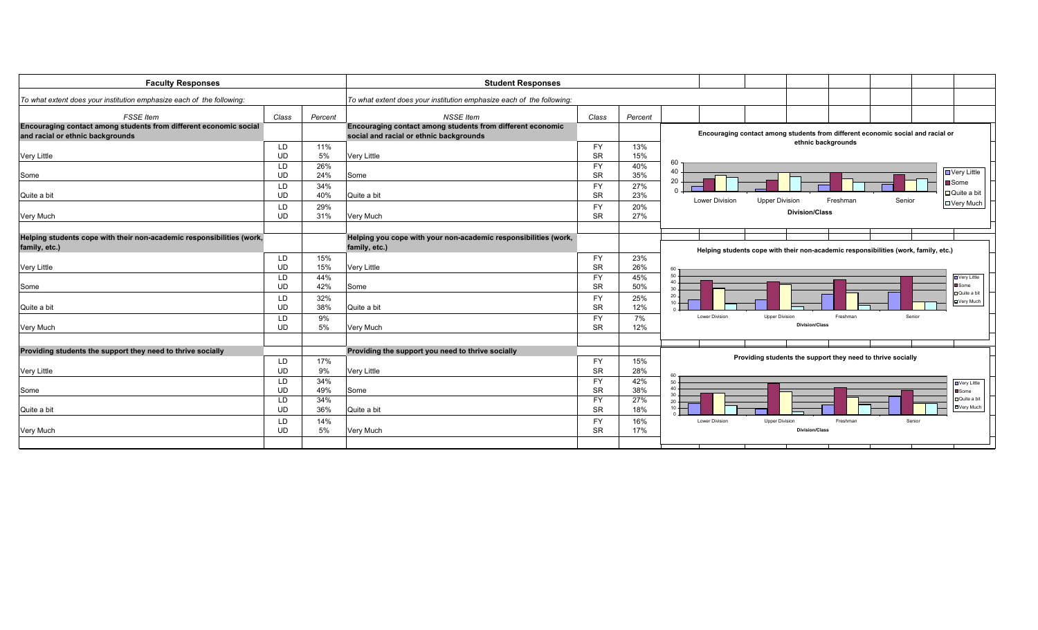| <b>Faculty Responses</b>                                                                              |                 |            | <b>Student Responses</b>                                                                              |                        |            |                       |                                                                                     |                    |        |                                |
|-------------------------------------------------------------------------------------------------------|-----------------|------------|-------------------------------------------------------------------------------------------------------|------------------------|------------|-----------------------|-------------------------------------------------------------------------------------|--------------------|--------|--------------------------------|
| To what extent does your institution emphasize each of the following:                                 |                 |            | To what extent does your institution emphasize each of the following:                                 |                        |            |                       |                                                                                     |                    |        |                                |
| <b>FSSE</b> Item                                                                                      | Class           | Percent    | <b>NSSE</b> Item                                                                                      | Class                  | Percent    |                       |                                                                                     |                    |        |                                |
| Encouraging contact among students from different economic social<br>and racial or ethnic backgrounds |                 |            | Encouraging contact among students from different economic<br>social and racial or ethnic backgrounds |                        |            |                       | Encouraging contact among students from different economic social and racial or     |                    |        |                                |
|                                                                                                       | LD              | 11%        |                                                                                                       | <b>FY</b>              | 13%        |                       |                                                                                     | ethnic backgrounds |        |                                |
| <b>Very Little</b>                                                                                    | UD              | 5%         | <b>Very Little</b>                                                                                    | <b>SR</b>              | 15%        |                       |                                                                                     |                    |        |                                |
|                                                                                                       | LD              | 26%        |                                                                                                       | <b>FY</b>              | 40%        | 60                    |                                                                                     |                    |        |                                |
| Some                                                                                                  | <b>UD</b>       | 24%        | Some                                                                                                  | <b>SR</b>              | 35%        | 40                    |                                                                                     |                    |        | ■ Very Little                  |
|                                                                                                       | LD              | 34%        |                                                                                                       | <b>FY</b>              | 27%        | 20                    |                                                                                     |                    |        | <b>■</b> Some                  |
| Quite a bit                                                                                           | <b>UD</b>       | 40%        | Quite a bit                                                                                           | <b>SR</b>              | 23%        | <b>Lower Division</b> | <b>Upper Division</b>                                                               | Freshman           | Senior | □ Quite a bit                  |
|                                                                                                       | LD              | 29%        |                                                                                                       | <b>FY</b>              | 20%        |                       |                                                                                     |                    |        | □ Very Much                    |
| Very Much                                                                                             | UD              | 31%        | Very Much                                                                                             | <b>SR</b>              | 27%        |                       | <b>Division/Class</b>                                                               |                    |        |                                |
|                                                                                                       |                 |            |                                                                                                       |                        |            |                       |                                                                                     |                    |        |                                |
| Helping students cope with their non-academic responsibilities (work,                                 |                 |            | Helping you cope with your non-academic responsibilities (work,                                       |                        |            |                       |                                                                                     |                    |        |                                |
| family, etc.)                                                                                         |                 |            | family, etc.)                                                                                         |                        |            |                       | Helping students cope with their non-academic responsibilities (work, family, etc.) |                    |        |                                |
|                                                                                                       | LD              | 15%        |                                                                                                       | <b>FY</b>              | 23%        |                       |                                                                                     |                    |        |                                |
| <b>Very Little</b>                                                                                    | UD              | 15%        | <b>Very Little</b>                                                                                    | <b>SR</b>              | 26%        | 60                    |                                                                                     |                    |        |                                |
|                                                                                                       | LD.             | 44%        |                                                                                                       | <b>FY</b>              | 45%        | $50 -$                |                                                                                     |                    |        | <b>D</b> Very Little           |
| Some                                                                                                  | UD              | 42%        | Some                                                                                                  | <b>SR</b>              | 50%        | 40.<br>$30 -$         |                                                                                     |                    |        | Some                           |
|                                                                                                       | LD              | 32%        |                                                                                                       | <b>FY</b>              | 25%        | $20 -$                |                                                                                     |                    |        | <b>D</b> Quite a bit           |
| Quite a bit                                                                                           | <b>UD</b>       | 38%        | Quite a bit                                                                                           | <b>SR</b>              | 12%        | $10 -$                |                                                                                     |                    |        | <b>DVery Much</b>              |
|                                                                                                       | LD.             | 9%         |                                                                                                       | <b>FY</b>              | 7%         | Lower Division        | <b>Upper Division</b>                                                               | Freshman           | Senior |                                |
| Very Much                                                                                             | <b>UD</b>       | 5%         | Very Much                                                                                             | <b>SR</b>              | 12%        |                       | <b>Division/Class</b>                                                               |                    |        |                                |
|                                                                                                       |                 |            |                                                                                                       |                        |            |                       |                                                                                     |                    |        |                                |
| Providing students the support they need to thrive socially                                           |                 |            | Providing the support you need to thrive socially                                                     |                        |            |                       |                                                                                     |                    |        |                                |
|                                                                                                       | LD              | 17%        |                                                                                                       | <b>FY</b>              | 15%        |                       | Providing students the support they need to thrive socially                         |                    |        |                                |
| <b>Very Little</b>                                                                                    | UD              | 9%         | Very Little                                                                                           | <b>SR</b>              | 28%        |                       |                                                                                     |                    |        |                                |
|                                                                                                       |                 |            |                                                                                                       | <b>FY</b>              | 42%        | 60                    |                                                                                     |                    |        |                                |
| Some                                                                                                  | LD<br><b>UD</b> | 34%<br>49% | Some                                                                                                  | <b>SR</b>              | 38%        | $50 -$<br>$40 -$      |                                                                                     |                    |        | ■ Very Little<br><b>□</b> Some |
|                                                                                                       | LD              | 34%        |                                                                                                       | <b>FY</b>              | 27%        | $30 -$                |                                                                                     |                    |        | Quite a bit                    |
| Quite a bit                                                                                           | <b>UD</b>       | 36%        | Quite a bit                                                                                           | <b>SR</b>              | 18%        | $20 -$<br>$10 +$      |                                                                                     |                    |        | <b>D</b> Very Much             |
|                                                                                                       |                 |            |                                                                                                       |                        |            | <b>Lower Division</b> | <b>Upper Division</b>                                                               | Freshman           | Senior |                                |
| Very Much                                                                                             | LD<br><b>UD</b> | 14%<br>5%  | Very Much                                                                                             | <b>FY</b><br><b>SR</b> | 16%<br>17% |                       | <b>Division/Class</b>                                                               |                    |        |                                |
|                                                                                                       |                 |            |                                                                                                       |                        |            |                       |                                                                                     |                    |        |                                |
|                                                                                                       |                 |            |                                                                                                       |                        |            |                       |                                                                                     |                    |        |                                |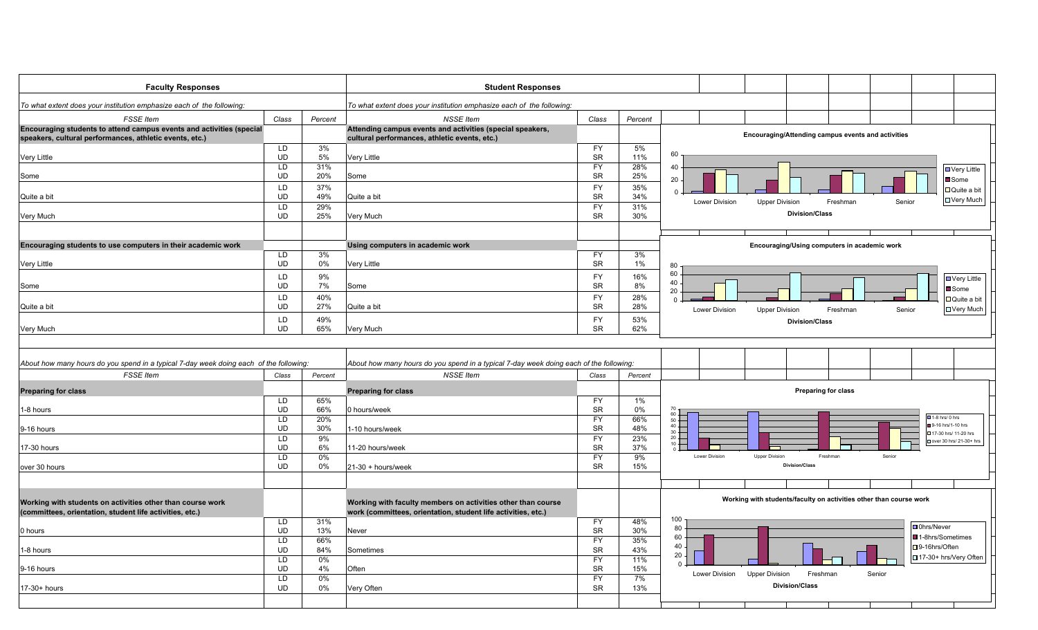| <b>Faculty Responses</b>                                                               |                 |            | <b>Student Responses</b>                                                               |                        |            |                                                                                               |
|----------------------------------------------------------------------------------------|-----------------|------------|----------------------------------------------------------------------------------------|------------------------|------------|-----------------------------------------------------------------------------------------------|
| To what extent does your institution emphasize each of the following:                  |                 |            | To what extent does your institution emphasize each of the following:                  |                        |            |                                                                                               |
| <b>FSSE</b> Item                                                                       | Class           | Percent    | <b>NSSE Item</b>                                                                       | Class                  | Percent    |                                                                                               |
| Encouraging students to attend campus events and activities (special                   |                 |            | Attending campus events and activities (special speakers,                              |                        |            |                                                                                               |
| speakers, cultural performances, athletic events, etc.)                                |                 |            | cultural performances, athletic events, etc.)                                          |                        |            | Encouraging/Attending campus events and activities                                            |
| Very Little                                                                            | LD<br><b>UD</b> | 3%<br>5%   | <b>Very Little</b>                                                                     | <b>FY</b><br><b>SR</b> | 5%<br>11%  | 60                                                                                            |
|                                                                                        | LD              | 31%        |                                                                                        | $\overline{FY}$        | 28%        | 40<br><b>D</b> Very Little                                                                    |
| Some                                                                                   | UD              | 20%        | Some                                                                                   | ${\sf SR}$             | 25%        | 20<br>Some                                                                                    |
|                                                                                        | LD              | 37%        |                                                                                        | <b>FY</b>              | 35%        | □ Quite a bit<br>$\sqrt{ }$                                                                   |
| Quite a bit                                                                            | <b>UD</b>       | 49%        | Quite a bit                                                                            | <b>SR</b>              | 34%        | <b>D</b> Very Much<br><b>Lower Division</b><br>Freshman<br>Senior<br><b>Upper Division</b>    |
|                                                                                        | LD              | 29%        |                                                                                        | <b>FY</b>              | 31%        | <b>Division/Class</b>                                                                         |
| Very Much                                                                              | <b>UD</b>       | 25%        | Very Much                                                                              | <b>SR</b>              | 30%        |                                                                                               |
|                                                                                        |                 |            |                                                                                        |                        |            |                                                                                               |
| Encouraging students to use computers in their academic work                           |                 |            | Using computers in academic work                                                       |                        |            | Encouraging/Using computers in academic work                                                  |
|                                                                                        | LD              | 3%         |                                                                                        | <b>FY</b>              | 3%         |                                                                                               |
| <b>Very Little</b>                                                                     | <b>UD</b>       | 0%         | <b>Very Little</b>                                                                     | SR                     | 1%         | 80                                                                                            |
|                                                                                        | LD              | 9%         |                                                                                        | <b>FY</b>              | 16%        | 60<br>□ Very Little<br>40                                                                     |
| Some                                                                                   | <b>UD</b>       | 7%         | Some                                                                                   | <b>SR</b>              | 8%         | <b>■</b> Some<br>20                                                                           |
|                                                                                        | LD              | 40%        |                                                                                        | <b>FY</b>              | 28%        | □ Quite a bit<br>$\Omega$                                                                     |
| Quite a bit                                                                            | <b>UD</b>       | 27%        | Quite a bit                                                                            | SR                     | 28%        | □ Very Much<br>Lower Division<br>Senior<br><b>Upper Division</b><br>Freshman                  |
| Very Much                                                                              | LD<br><b>UD</b> | 49%<br>65% | Very Much                                                                              | <b>FY</b><br>SR        | 53%<br>62% | <b>Division/Class</b>                                                                         |
|                                                                                        |                 |            |                                                                                        |                        |            |                                                                                               |
|                                                                                        |                 |            |                                                                                        |                        |            |                                                                                               |
| About how many hours do you spend in a typical 7-day week doing each of the following: |                 |            | About how many hours do you spend in a typical 7-day week doing each of the following: |                        |            |                                                                                               |
| <b>FSSE</b> Item                                                                       | Class           | Percent    | <b>NSSE Item</b>                                                                       | Class                  | Percent    |                                                                                               |
| <b>Preparing for class</b>                                                             |                 |            | <b>Preparing for class</b>                                                             |                        |            | Preparing for class                                                                           |
|                                                                                        | LD<br><b>UD</b> | 65%        |                                                                                        | <b>FY</b>              | $1\%$      |                                                                                               |
| 1-8 hours                                                                              | LD              | 66%<br>20% | 0 hours/week                                                                           | <b>SR</b><br><b>FY</b> | 0%<br>66%  | $60 -$<br>$\sqrt{21-8}$ hrs/ 0 hrs<br>$50+$                                                   |
| 9-16 hours                                                                             | <b>UD</b>       | 30%        | 1-10 hours/week                                                                        | SR                     | 48%        | 9-16 hrs/1-10 hrs<br>$\frac{40}{30}$ = $\frac{1}{20}$                                         |
|                                                                                        | LD.             | 9%         |                                                                                        | <b>FY</b>              | 23%        | □ 17-30 hrs/ 11-20 hrs<br>over 30 hrs/ 21-30+ hrs<br>$10 +$                                   |
| 17-30 hours                                                                            | <b>UD</b>       | 6%         | 11-20 hours/week                                                                       | SR                     | 37%        |                                                                                               |
|                                                                                        | LD              | 0%         |                                                                                        | <b>FY</b>              | 9%         | <b>Lower Division</b><br><b>Upper Division</b><br>Freshman<br>Senior<br><b>Division/Class</b> |
| over 30 hours                                                                          | <b>UD</b>       | 0%         | $21-30 + hours/week$                                                                   | <b>SR</b>              | 15%        |                                                                                               |
|                                                                                        |                 |            |                                                                                        |                        |            |                                                                                               |
|                                                                                        |                 |            |                                                                                        |                        |            | Working with students/faculty on activities other than course work                            |
| Working with students on activities other than course work                             |                 |            | Working with faculty members on activities other than course                           |                        |            |                                                                                               |
| (committees, orientation, student life activities, etc.)                               | LD              | 31%        | work (committees, orientation, student life activities, etc.)                          | <b>FY</b>              | 48%        | 100                                                                                           |
| 0 hours                                                                                | <b>UD</b>       | 13%        | Never                                                                                  | SR                     | 30%        | □ 0hrs/Never<br>80                                                                            |
|                                                                                        | LD              | 66%        |                                                                                        | <b>FY</b>              | 35%        | 60<br>■1-8hrs/Sometimes                                                                       |
| 1-8 hours                                                                              | <b>UD</b>       | 84%        | Sometimes                                                                              | <b>SR</b>              | 43%        | 40<br>□9-16hrs/Often<br>20                                                                    |
|                                                                                        | LD              | 0%         |                                                                                        | <b>FY</b>              | 11%        | □ 17-30+ hrs/Very Often<br>$\Omega$                                                           |
| 9-16 hours                                                                             | <b>UD</b><br>LD | 4%<br>0%   | Often                                                                                  | SR<br><b>FY</b>        | 15%<br>7%  | <b>Upper Division</b><br>Freshman<br>Lower Division<br>Senior                                 |
| 17-30+ hours                                                                           | <b>UD</b>       | 0%         | Very Often                                                                             | <b>SR</b>              | 13%        | <b>Division/Class</b>                                                                         |
|                                                                                        |                 |            |                                                                                        |                        |            |                                                                                               |
|                                                                                        |                 |            |                                                                                        |                        |            |                                                                                               |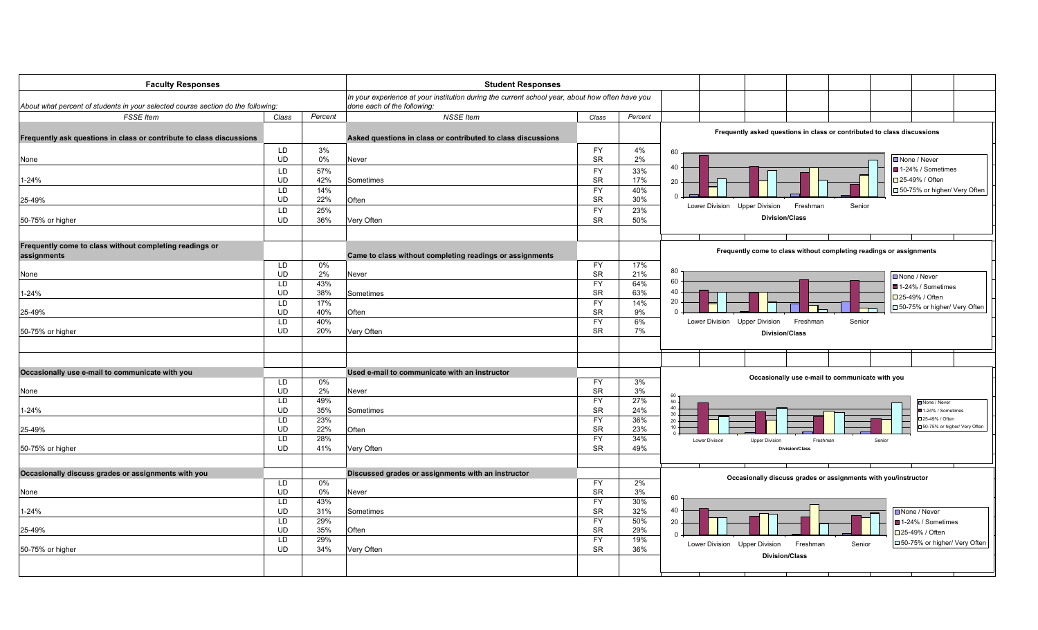| <b>Faculty Responses</b>                                                         |                 |            | <b>Student Responses</b>                                                                        |                        |            |                                                                         |
|----------------------------------------------------------------------------------|-----------------|------------|-------------------------------------------------------------------------------------------------|------------------------|------------|-------------------------------------------------------------------------|
|                                                                                  |                 |            | In your experience at your institution during the current school year, about how often have you |                        |            |                                                                         |
| About what percent of students in your selected course section do the following: |                 |            | done each of the following:                                                                     |                        |            |                                                                         |
| <b>FSSE Item</b>                                                                 | Class           | Percent    | <b>NSSE Item</b>                                                                                | Class                  | Percent    |                                                                         |
|                                                                                  |                 |            |                                                                                                 |                        |            | Frequently asked questions in class or contributed to class discussions |
| Frequently ask questions in class or contribute to class discussions             |                 |            | Asked questions in class or contributed to class discussions                                    |                        |            |                                                                         |
|                                                                                  | LD              | 3%         |                                                                                                 | <b>FY</b>              | 4%         | 60                                                                      |
| None                                                                             | <b>UD</b>       | 0%         | Never                                                                                           | <b>SR</b>              | 2%         | ■ None / Never<br>40                                                    |
|                                                                                  | LD              | 57%        |                                                                                                 | <b>FY</b>              | 33%        | ■1-24% / Sometimes                                                      |
| 1-24%                                                                            | <b>UD</b>       | 42%        | Sometimes                                                                                       | <b>SR</b>              | 17%        | □ 25-49% / Often<br>20                                                  |
| 25-49%                                                                           | LD<br><b>UD</b> | 14%<br>22% | Often                                                                                           | FY<br><b>SR</b>        | 40%<br>30% | □50-75% or higher/ Very Often<br>$\Omega$                               |
|                                                                                  | LD              | 25%        |                                                                                                 | <b>FY</b>              | 23%        | Lower Division Upper Division<br>Freshman<br>Senior                     |
| 50-75% or higher                                                                 | <b>UD</b>       | 36%        | Very Often                                                                                      | <b>SR</b>              | 50%        | <b>Division/Class</b>                                                   |
|                                                                                  |                 |            |                                                                                                 |                        |            |                                                                         |
|                                                                                  |                 |            |                                                                                                 |                        |            |                                                                         |
| Frequently come to class without completing readings or<br>assignments           |                 |            | Came to class without completing readings or assignments                                        |                        |            | Frequently come to class without completing readings or assignments     |
|                                                                                  | LD              | 0%         |                                                                                                 | <b>FY</b>              | 17%        |                                                                         |
| None                                                                             | <b>UD</b>       | 2%         | Never                                                                                           | <b>SR</b>              | 21%        | 80<br>□ None / Never<br>60                                              |
|                                                                                  | LD              | 43%        |                                                                                                 | <b>FY</b>              | 64%        | ■1-24% / Sometimes<br>40                                                |
| $1 - 24%$                                                                        | <b>UD</b>       | 38%        | Sometimes                                                                                       | <b>SR</b>              | 63%        | □ 25-49% / Often<br>20                                                  |
| 25-49%                                                                           | LD<br><b>UD</b> | 17%<br>40% | Often                                                                                           | <b>FY</b><br><b>SR</b> | 14%<br>9%  | □50-75% or higher/ Very Often<br>$\Omega$                               |
|                                                                                  | LD              | 40%        |                                                                                                 | <b>FY</b>              | 6%         | Lower Division Upper Division<br>Freshman<br>Senior                     |
| 50-75% or higher                                                                 | <b>UD</b>       | 20%        | Very Often                                                                                      | <b>SR</b>              | 7%         | <b>Division/Class</b>                                                   |
|                                                                                  |                 |            |                                                                                                 |                        |            |                                                                         |
|                                                                                  |                 |            |                                                                                                 |                        |            |                                                                         |
|                                                                                  |                 |            |                                                                                                 |                        |            |                                                                         |
| Occasionally use e-mail to communicate with you                                  | LD              | 0%         | Used e-mail to communicate with an instructor                                                   | <b>FY</b>              | 3%         | Occasionally use e-mail to communicate with you                         |
| None                                                                             | <b>UD</b>       | 2%         | Never                                                                                           | <b>SR</b>              | 3%         |                                                                         |
|                                                                                  | LD              | 49%        |                                                                                                 | <b>FY</b>              | 27%        | 60<br>50.<br>None / Never                                               |
| $1 - 24%$                                                                        | <b>UD</b>       | 35%        | Sometimes                                                                                       | <b>SR</b>              | 24%        | $40 -$<br>1-24% / Sometimes<br>$30 -$                                   |
|                                                                                  | LD              | 23%        |                                                                                                 | <b>FY</b>              | 36%        | □ 25-49% / Ofter<br>$20 -$<br>□50-75% or higher/ Very Often             |
| 25-49%                                                                           | <b>UD</b>       | 22%        | Often                                                                                           | <b>SR</b>              | 23%        | 10.                                                                     |
|                                                                                  | LD<br><b>UD</b> | 28%        |                                                                                                 | <b>FY</b><br><b>SR</b> | 34%        | Lower Division<br><b>Upper Division</b><br>Freshman<br>Senior           |
| 50-75% or higher                                                                 |                 | 41%        | Very Often                                                                                      |                        | 49%        | <b>Division/Class</b>                                                   |
|                                                                                  |                 |            |                                                                                                 |                        |            |                                                                         |
| Occasionally discuss grades or assignments with you                              |                 |            | Discussed grades or assignments with an instructor                                              |                        |            | Occasionally discuss grades or assignments with you/instructor          |
|                                                                                  | LD<br><b>UD</b> | 0%<br>0%   |                                                                                                 | <b>FY</b><br><b>SR</b> | 2%<br>3%   |                                                                         |
| None                                                                             |                 |            | Never                                                                                           | <b>FY</b>              | 30%        | 60                                                                      |
| 1-24%                                                                            | LD<br><b>UD</b> | 43%<br>31% | Sometimes                                                                                       | <b>SR</b>              | 32%        | 40<br><b>□</b> None / Never                                             |
|                                                                                  | LD              | 29%        |                                                                                                 | <b>FY</b>              | 50%        | ■ 1-24% / Sometimes<br>20                                               |
| 25-49%                                                                           | <b>UD</b>       | 35%        | Often                                                                                           | <b>SR</b>              | 29%        | □ 25-49% / Often<br>$\Omega$                                            |
|                                                                                  | LD              | 29%        |                                                                                                 | <b>FY</b>              | 19%        | □50-75% or higher/ Very Often<br>Senior                                 |
| 50-75% or higher                                                                 | <b>UD</b>       | 34%        | Very Often                                                                                      | <b>SR</b>              | 36%        | Lower Division Upper Division<br>Freshman                               |
|                                                                                  |                 |            |                                                                                                 |                        |            | <b>Division/Class</b>                                                   |
|                                                                                  |                 |            |                                                                                                 |                        |            |                                                                         |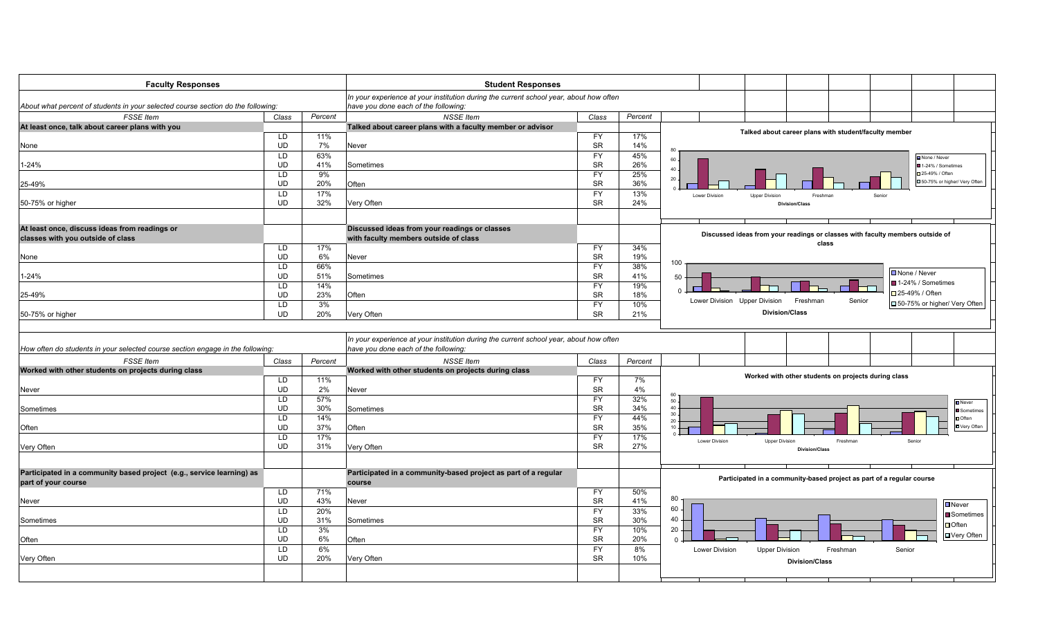| <b>Faculty Responses</b>                                                                           |           | <b>Student Responses</b> |                                                                                                                                                    |           |         |                                                                                        |
|----------------------------------------------------------------------------------------------------|-----------|--------------------------|----------------------------------------------------------------------------------------------------------------------------------------------------|-----------|---------|----------------------------------------------------------------------------------------|
|                                                                                                    |           |                          | In your experience at your institution during the current school year, about how often                                                             |           |         |                                                                                        |
| About what percent of students in your selected course section do the following:                   |           |                          | have you done each of the following:                                                                                                               |           |         |                                                                                        |
| <b>FSSE</b> Item                                                                                   | Class     | Percent                  | <b>NSSE</b> Item                                                                                                                                   | Class     | Percent |                                                                                        |
| At least once, talk about career plans with you                                                    |           |                          | Talked about career plans with a faculty member or advisor                                                                                         |           |         | Talked about career plans with student/faculty member                                  |
|                                                                                                    | LD        | 11%                      |                                                                                                                                                    | <b>FY</b> | 17%     |                                                                                        |
| None                                                                                               | <b>UD</b> | 7%                       | Never                                                                                                                                              | <b>SR</b> | 14%     | 80                                                                                     |
|                                                                                                    | LD        | 63%                      |                                                                                                                                                    | <b>FY</b> | 45%     | None / Never                                                                           |
| 1-24%                                                                                              | UD        | 41%                      | Sometimes                                                                                                                                          | <b>SR</b> | 26%     | $60 -$<br>1-24% / Sometimes                                                            |
|                                                                                                    | <b>LD</b> | 9%                       |                                                                                                                                                    | <b>FY</b> | 25%     | $40 -$<br>□25-49% / Often                                                              |
| 25-49%                                                                                             | <b>UD</b> | 20%                      | Often                                                                                                                                              | <b>SR</b> | 36%     | $20 -$<br>50-75% or higher/ Very Often                                                 |
|                                                                                                    | <b>LD</b> | 17%                      |                                                                                                                                                    | <b>FY</b> | 13%     | Lower Division<br><b>Upper Division</b><br>Freshma<br>Senior                           |
| 50-75% or higher                                                                                   | <b>UD</b> | 32%                      | Very Often                                                                                                                                         | <b>SR</b> | 24%     | Division/Clas                                                                          |
|                                                                                                    |           |                          |                                                                                                                                                    |           |         |                                                                                        |
| At least once, discuss ideas from readings or                                                      |           |                          | Discussed ideas from your readings or classes                                                                                                      |           |         |                                                                                        |
| classes with you outside of class                                                                  |           |                          | with faculty members outside of class                                                                                                              |           |         | Discussed ideas from your readings or classes with faculty members outside of<br>class |
|                                                                                                    | LD        | 17%                      |                                                                                                                                                    | <b>FY</b> | 34%     |                                                                                        |
| None                                                                                               | <b>UD</b> | 6%                       | Never                                                                                                                                              | <b>SR</b> | 19%     |                                                                                        |
|                                                                                                    | LD        | 66%                      |                                                                                                                                                    | <b>FY</b> | 38%     | 100                                                                                    |
| 1-24%                                                                                              | UD        | 51%                      | Sometimes                                                                                                                                          | <b>SR</b> | 41%     | ■None / Never<br>50                                                                    |
|                                                                                                    | LD        | 14%                      |                                                                                                                                                    | <b>FY</b> | 19%     | ■ 1-24% / Sometimes                                                                    |
| 25-49%                                                                                             | <b>UD</b> | 23%                      | Often                                                                                                                                              | <b>SR</b> | 18%     | $\Omega$<br>□ 25-49% / Often                                                           |
|                                                                                                    | LD        | 3%                       |                                                                                                                                                    | <b>FY</b> | 10%     | Lower Division Upper Division<br>Freshman<br>Senior<br>□50-75% or higher/ Very Often   |
| 50-75% or higher                                                                                   | <b>UD</b> | 20%                      | Very Often                                                                                                                                         | <b>SR</b> | 21%     | <b>Division/Class</b>                                                                  |
| How often do students in your selected course section engage in the following:<br><b>FSSE</b> Item | Class     | Percent                  | In your experience at your institution during the current school year, about how often<br>have you done each of the following.<br><b>NSSE</b> Item | Class     | Percent |                                                                                        |
| Worked with other students on projects during class                                                |           |                          | Worked with other students on projects during class                                                                                                |           |         |                                                                                        |
|                                                                                                    | LD        | 11%                      |                                                                                                                                                    | <b>FY</b> | 7%      | Worked with other students on projects during class                                    |
| Never                                                                                              | <b>UD</b> | 2%                       | Never                                                                                                                                              | <b>SR</b> | 4%      |                                                                                        |
|                                                                                                    | LD        | 57%                      |                                                                                                                                                    | <b>FY</b> | 32%     | 60                                                                                     |
| Sometimes                                                                                          | <b>UD</b> | 30%                      | Sometimes                                                                                                                                          | <b>SR</b> | 34%     | $50 -$<br>Never<br>40.<br>Sometimes                                                    |
|                                                                                                    | LD        | 14%                      |                                                                                                                                                    | <b>FY</b> | 44%     | $30\,$<br><b>D</b> Often                                                               |
| Often                                                                                              | <b>UD</b> | 37%                      | Often                                                                                                                                              | <b>SR</b> | 35%     | $20 -$<br><b>D</b> Very Often<br>10.                                                   |
|                                                                                                    | <b>LD</b> | 17%                      |                                                                                                                                                    | <b>FY</b> | 17%     |                                                                                        |
| Very Often                                                                                         | <b>UD</b> | 31%                      | Very Often                                                                                                                                         | <b>SR</b> | 27%     | Lower Division<br><b>Upper Division</b><br>Freshman<br>Senior                          |
|                                                                                                    |           |                          |                                                                                                                                                    |           |         | <b>Division/Class</b>                                                                  |
|                                                                                                    |           |                          |                                                                                                                                                    |           |         |                                                                                        |
| Participated in a community based project (e.g., service learning) as<br>part of your course       |           |                          | Participated in a community-based project as part of a regular<br>course                                                                           |           |         | Participated in a community-based project as part of a regular course                  |
|                                                                                                    | LD        | 71%                      |                                                                                                                                                    | <b>FY</b> | 50%     |                                                                                        |
| Never                                                                                              | <b>UD</b> | 43%                      | Never                                                                                                                                              | <b>SR</b> | 41%     | 80<br>$\square$ Never                                                                  |
|                                                                                                    | LD        | 20%                      |                                                                                                                                                    | <b>FY</b> | 33%     | 60                                                                                     |
| Sometimes                                                                                          | <b>UD</b> | 31%                      | Sometimes                                                                                                                                          | <b>SR</b> | 30%     | Sometimes<br>40                                                                        |
|                                                                                                    | LD        | 3%                       |                                                                                                                                                    | <b>FY</b> | 10%     | $\Box$ Often<br>20                                                                     |
| Often                                                                                              | <b>UD</b> | 6%                       | Often                                                                                                                                              | <b>SR</b> | 20%     | □ Very Often<br>$\Omega$                                                               |
|                                                                                                    | LD        | 6%                       |                                                                                                                                                    | <b>FY</b> | 8%      | <b>Lower Division</b><br><b>Upper Division</b><br>Senior<br>Freshman                   |
| Very Often                                                                                         | <b>UD</b> | 20%                      | Very Often                                                                                                                                         | <b>SR</b> | 10%     |                                                                                        |
|                                                                                                    |           |                          |                                                                                                                                                    |           |         | <b>Division/Class</b>                                                                  |
|                                                                                                    |           |                          |                                                                                                                                                    |           |         |                                                                                        |
|                                                                                                    |           |                          |                                                                                                                                                    |           |         |                                                                                        |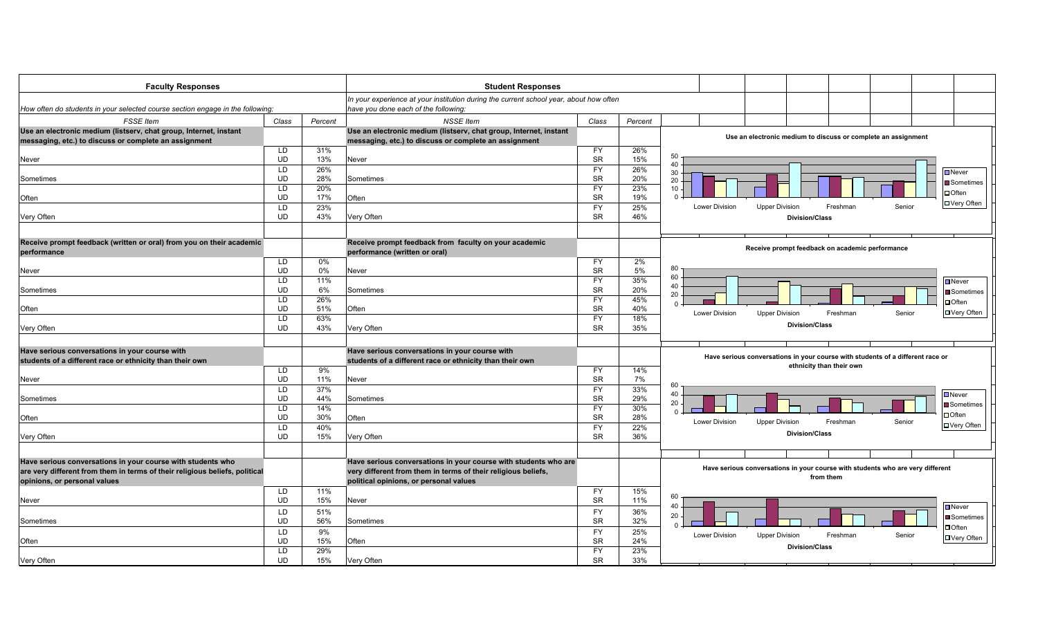| <b>Faculty Responses</b>                                                            |                 |            | <b>Student Responses</b>                                                                                                       |                        |            |                |                       |                                                                                |        |                          |
|-------------------------------------------------------------------------------------|-----------------|------------|--------------------------------------------------------------------------------------------------------------------------------|------------------------|------------|----------------|-----------------------|--------------------------------------------------------------------------------|--------|--------------------------|
| How often do students in your selected course section engage in the following:      |                 |            | In your experience at your institution during the current school year, about how often<br>have you done each of the following: |                        |            |                |                       |                                                                                |        |                          |
| <b>FSSE</b> Item                                                                    | Class           | Percent    | <b>NSSE Item</b>                                                                                                               | Class                  | Percent    |                |                       |                                                                                |        |                          |
| Use an electronic medium (listserv, chat group, Internet, instant                   |                 |            | Use an electronic medium (listserv, chat group, Internet, instant                                                              |                        |            |                |                       |                                                                                |        |                          |
| messaging, etc.) to discuss or complete an assignment                               |                 |            | messaging, etc.) to discuss or complete an assignment                                                                          |                        |            |                |                       | Use an electronic medium to discuss or complete an assignment                  |        |                          |
|                                                                                     | LD              | 31%        |                                                                                                                                | <b>FY</b>              | 26%        |                |                       |                                                                                |        |                          |
| <b>Never</b>                                                                        | UD              | 13%        | Never                                                                                                                          | <b>SR</b>              | 15%        | 50<br>40       |                       |                                                                                |        |                          |
|                                                                                     | LD              | 26%        |                                                                                                                                | <b>FY</b>              | 26%        | 30             |                       |                                                                                |        | Never                    |
| Sometimes                                                                           | <b>UD</b>       | 28%        | Sometimes                                                                                                                      | <b>SR</b>              | 20%        | 20             |                       |                                                                                |        | Sometimes                |
|                                                                                     | LD<br><b>UD</b> | 20%<br>17% |                                                                                                                                | <b>FY</b><br><b>SR</b> | 23%<br>19% | 10             |                       |                                                                                |        | $\Box$ Often             |
| Often                                                                               | LD              | 23%        | Often                                                                                                                          | <b>FY</b>              | 25%        | Lower Division | <b>Upper Division</b> | Freshman                                                                       | Senior | □ Very Often             |
| Very Often                                                                          | <b>UD</b>       | 43%        | Very Often                                                                                                                     | <b>SR</b>              | 46%        |                | <b>Division/Class</b> |                                                                                |        |                          |
|                                                                                     |                 |            |                                                                                                                                |                        |            |                |                       |                                                                                |        |                          |
|                                                                                     |                 |            |                                                                                                                                |                        |            |                |                       |                                                                                |        |                          |
| Receive prompt feedback (written or oral) from you on their academic<br>performance |                 |            | Receive prompt feedback from faculty on your academic<br>performance (written or oral)                                         |                        |            |                |                       | Receive prompt feedback on academic performance                                |        |                          |
|                                                                                     | LD              | 0%         |                                                                                                                                | <b>FY</b>              | 2%         |                |                       |                                                                                |        |                          |
| Never                                                                               | <b>UD</b>       | 0%         | Never                                                                                                                          | <b>SR</b>              | 5%         | 80             |                       |                                                                                |        |                          |
|                                                                                     | LD              | 11%        |                                                                                                                                | <b>FY</b>              | 35%        | 60<br>40       |                       |                                                                                |        | $\Box$ Never             |
| Sometimes                                                                           | <b>UD</b>       | 6%         | Sometimes                                                                                                                      | <b>SR</b>              | 20%        | 20             |                       |                                                                                |        | ■ Sometimes              |
|                                                                                     | LD              | 26%        |                                                                                                                                | <b>FY</b>              | 45%        | $\Omega$       |                       |                                                                                |        | $\Box$ Often             |
| Often                                                                               | <b>UD</b>       | 51%        | Often                                                                                                                          | <b>SR</b>              | 40%        | Lower Division | <b>Upper Division</b> | Freshman                                                                       | Senior | <b>□ Very Often</b>      |
|                                                                                     | LD              | 63%        |                                                                                                                                | <b>FY</b><br><b>SR</b> | 18%        |                | <b>Division/Class</b> |                                                                                |        |                          |
| Very Often                                                                          | <b>UD</b>       | 43%        | Very Often                                                                                                                     |                        | 35%        |                |                       |                                                                                |        |                          |
|                                                                                     |                 |            |                                                                                                                                |                        |            |                |                       |                                                                                |        |                          |
| Have serious conversations in your course with                                      |                 |            | Have serious conversations in your course with                                                                                 |                        |            |                |                       | Have serious conversations in your course with students of a different race or |        |                          |
| students of a different race or ethnicity than their own                            |                 |            | students of a different race or ethnicity than their own                                                                       |                        |            |                |                       | ethnicity than their own                                                       |        |                          |
| Never                                                                               | LD<br><b>UD</b> | 9%<br>11%  | Never                                                                                                                          | <b>FY</b><br><b>SR</b> | 14%<br>7%  |                |                       |                                                                                |        |                          |
|                                                                                     | LD              | 37%        |                                                                                                                                | <b>FY</b>              | 33%        | 60             |                       |                                                                                |        |                          |
| Sometimes                                                                           | <b>UD</b>       | 44%        | Sometimes                                                                                                                      | <b>SR</b>              | 29%        | 40             |                       |                                                                                |        | $\square$ Never          |
|                                                                                     | LD              | 14%        |                                                                                                                                | <b>FY</b>              | 30%        | 20<br>$\Omega$ |                       |                                                                                |        | $\blacksquare$ Sometimes |
| Often                                                                               | <b>UD</b>       | 30%        | Often                                                                                                                          | <b>SR</b>              | 28%        | Lower Division |                       |                                                                                | Senior | $\Box$ Often             |
|                                                                                     | LD              | 40%        |                                                                                                                                | <b>FY</b>              | 22%        |                | <b>Upper Division</b> | Freshman                                                                       |        | <b>D</b> Very Often      |
| Very Often                                                                          | <b>UD</b>       | 15%        | Very Often                                                                                                                     | <b>SR</b>              | 36%        |                | <b>Division/Class</b> |                                                                                |        |                          |
|                                                                                     |                 |            |                                                                                                                                |                        |            |                |                       |                                                                                |        |                          |
| Have serious conversations in your course with students who                         |                 |            | Have serious conversations in your course with students who are                                                                |                        |            |                |                       |                                                                                |        |                          |
| are very different from them in terms of their religious beliefs, political         |                 |            | very different from them in terms of their religious beliefs,                                                                  |                        |            |                |                       | Have serious conversations in your course with students who are very different |        |                          |
| opinions, or personal values                                                        |                 |            | political opinions, or personal values                                                                                         |                        |            |                |                       | from them                                                                      |        |                          |
|                                                                                     | LD              | 11%        |                                                                                                                                | FY                     | 15%        |                |                       |                                                                                |        |                          |
| Never                                                                               | <b>UD</b>       | 15%        | Never                                                                                                                          | <b>SR</b>              | 11%        | 60             |                       |                                                                                |        |                          |
|                                                                                     | LD              | 51%        |                                                                                                                                | <b>FY</b>              | 36%        | 40             |                       |                                                                                |        | $\Box$ Never             |
| Sometimes                                                                           | <b>UD</b>       | 56%        | Sometimes                                                                                                                      | <b>SR</b>              | 32%        | 20<br>$\Omega$ |                       |                                                                                |        | ■ Sometimes              |
|                                                                                     | LD              | 9%         |                                                                                                                                | <b>FY</b>              | 25%        | Lower Division | <b>Upper Division</b> | Freshman                                                                       | Senior | $\Box$ Often             |
| Often                                                                               | <b>UD</b>       | 15%        | Often                                                                                                                          | <b>SR</b>              | 24%        |                |                       |                                                                                |        | $\nabla$ Very Often      |
|                                                                                     | LD              | 29%        |                                                                                                                                | <b>FY</b>              | 23%        |                | <b>Division/Class</b> |                                                                                |        |                          |
| Very Often                                                                          | <b>UD</b>       | 15%        | Very Often                                                                                                                     | <b>SR</b>              | 33%        |                |                       |                                                                                |        |                          |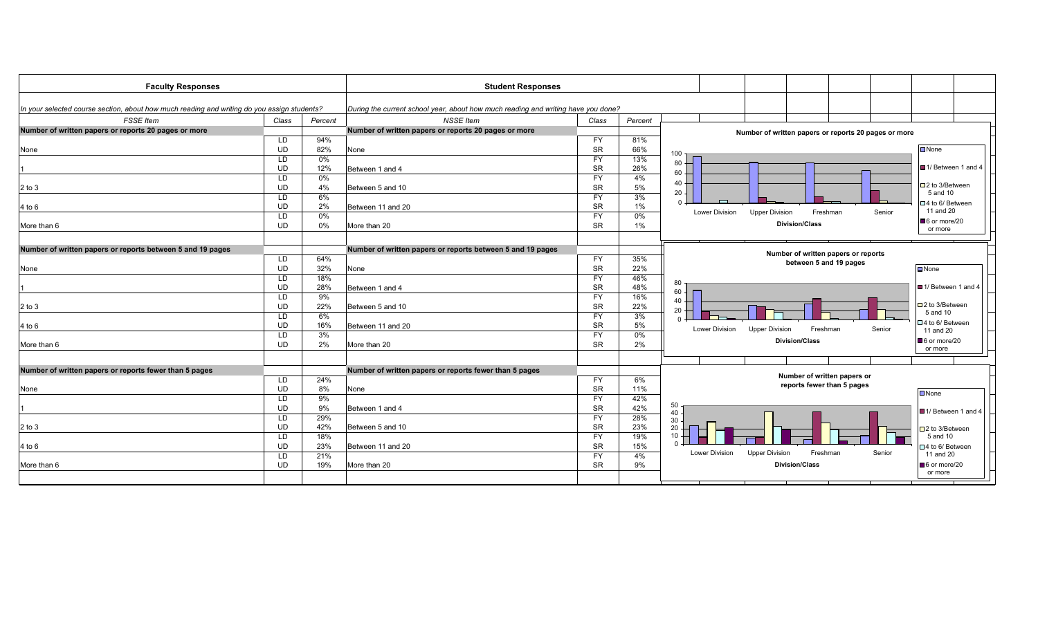| <b>Faculty Responses</b>                                                                    |           |         | <b>Student Responses</b>                                                          |           |         |                                                                      |                             |  |
|---------------------------------------------------------------------------------------------|-----------|---------|-----------------------------------------------------------------------------------|-----------|---------|----------------------------------------------------------------------|-----------------------------|--|
|                                                                                             |           |         |                                                                                   |           |         |                                                                      |                             |  |
| In your selected course section, about how much reading and writing do you assign students? |           |         | During the current school year, about how much reading and writing have you done? |           |         |                                                                      |                             |  |
| FSSE Item                                                                                   | Class     | Percent | <b>NSSE Item</b>                                                                  | Class     | Percent |                                                                      |                             |  |
| Number of written papers or reports 20 pages or more                                        |           |         | Number of written papers or reports 20 pages or more                              |           |         | Number of written papers or reports 20 pages or more                 |                             |  |
|                                                                                             | LD        | 94%     |                                                                                   | <b>FY</b> | 81%     |                                                                      |                             |  |
| None                                                                                        | UD        | 82%     | None                                                                              | <b>SR</b> | 66%     | $100 -$                                                              | $\n  Two$                   |  |
|                                                                                             | LD        | $0\%$   |                                                                                   | <b>FY</b> | 13%     |                                                                      |                             |  |
|                                                                                             | UD        | 12%     | Between 1 and 4                                                                   | <b>SR</b> | 26%     | $80 -$                                                               | ■ 1/ Between 1 and 4        |  |
|                                                                                             | LD        | $0\%$   |                                                                                   | <b>FY</b> | 4%      | $60 -$                                                               |                             |  |
| $2$ to $3$                                                                                  | <b>UD</b> | 4%      | Between 5 and 10                                                                  | <b>SR</b> | 5%      | $40 +$                                                               | □ 2 to 3/Between            |  |
|                                                                                             | LD        | 6%      |                                                                                   | <b>FY</b> | 3%      | $20 -$                                                               | 5 and 10                    |  |
| 4 to 6                                                                                      | UD        | 2%      | Between 11 and 20                                                                 | <b>SR</b> | 1%      |                                                                      | □ 4 to 6/ Between           |  |
|                                                                                             | LD        | $0\%$   |                                                                                   | <b>FY</b> | 0%      | <b>Upper Division</b><br><b>Lower Division</b><br>Freshman<br>Senior | 11 and 20                   |  |
| More than 6                                                                                 | <b>UD</b> | $0\%$   | More than 20                                                                      | <b>SR</b> | 1%      | <b>Division/Class</b>                                                | 6 or more/20                |  |
|                                                                                             |           |         |                                                                                   |           |         |                                                                      | or more                     |  |
|                                                                                             |           |         |                                                                                   |           |         |                                                                      |                             |  |
| Number of written papers or reports between 5 and 19 pages                                  |           |         | Number of written papers or reports between 5 and 19 pages                        |           |         | Number of written papers or reports                                  |                             |  |
|                                                                                             | LD        | 64%     |                                                                                   | <b>FY</b> | 35%     | between 5 and 19 pages                                               |                             |  |
| None                                                                                        | UD        | 32%     | None                                                                              | <b>SR</b> | 22%     |                                                                      | $\Box$ None                 |  |
|                                                                                             | LD        | 18%     |                                                                                   | <b>FY</b> | 46%     | 80                                                                   |                             |  |
|                                                                                             | UD        | 28%     | Between 1 and 4                                                                   | <b>SR</b> | 48%     | 60                                                                   | ■ 1/ Between 1 and 4        |  |
|                                                                                             | LD        | 9%      |                                                                                   | <b>FY</b> | 16%     | 40                                                                   |                             |  |
| $2$ to $3$                                                                                  | UD        | 22%     | Between 5 and 10                                                                  | <b>SR</b> | 22%     | 20                                                                   | $\square$ 2 to 3/Between    |  |
|                                                                                             | LD        | 6%      |                                                                                   | <b>FY</b> | 3%      |                                                                      | 5 and 10                    |  |
| 4 to 6                                                                                      | <b>UD</b> | 16%     | Between 11 and 20                                                                 | <b>SR</b> | 5%      | <b>Lower Division</b><br>Senior<br>Freshman                          | □4 to 6/ Between            |  |
|                                                                                             | LD        | 3%      |                                                                                   | <b>FY</b> | 0%      | <b>Upper Division</b>                                                | 11 and 20                   |  |
| More than 6                                                                                 | <b>UD</b> | 2%      | More than 20                                                                      | <b>SR</b> | 2%      | <b>Division/Class</b>                                                | $\blacksquare$ 6 or more/20 |  |
|                                                                                             |           |         |                                                                                   |           |         |                                                                      | or more                     |  |
|                                                                                             |           |         |                                                                                   |           |         |                                                                      |                             |  |
| Number of written papers or reports fewer than 5 pages                                      |           |         | Number of written papers or reports fewer than 5 pages                            |           |         | Number of written papers or                                          |                             |  |
|                                                                                             | LD        | 24%     |                                                                                   | <b>FY</b> | 6%      | reports fewer than 5 pages                                           |                             |  |
| None                                                                                        | UD        | 8%      | None                                                                              | <b>SR</b> | 11%     |                                                                      | $\square$ None              |  |
|                                                                                             | LD        | 9%      |                                                                                   | <b>FY</b> | 42%     |                                                                      |                             |  |
|                                                                                             | <b>UD</b> | 9%      | Between 1 and 4                                                                   | <b>SR</b> | 42%     | 50<br>40                                                             | ■ 1/ Between 1 and 4        |  |
|                                                                                             | LD        | 29%     |                                                                                   | <b>FY</b> | 28%     | 30                                                                   |                             |  |
| $2$ to $3$                                                                                  | UD        | 42%     | Between 5 and 10                                                                  | <b>SR</b> | 23%     | 20                                                                   | $\square$ 2 to 3/Between    |  |
|                                                                                             | LD        | 18%     |                                                                                   | <b>FY</b> | 19%     | 10                                                                   | 5 and 10                    |  |
| 4 to 6                                                                                      | UD        | 23%     | Between 11 and 20                                                                 | <b>SR</b> | 15%     |                                                                      | □4 to 6/ Between            |  |
|                                                                                             | LD        | 21%     |                                                                                   | <b>FY</b> | 4%      | Lower Division<br><b>Upper Division</b><br>Senior<br>Freshman        | 11 and 20                   |  |
| More than 6                                                                                 | UD        | 19%     | More than 20                                                                      | <b>SR</b> | 9%      | <b>Division/Class</b>                                                | 6 or more/20                |  |
|                                                                                             |           |         |                                                                                   |           |         |                                                                      | or more                     |  |
|                                                                                             |           |         |                                                                                   |           |         |                                                                      |                             |  |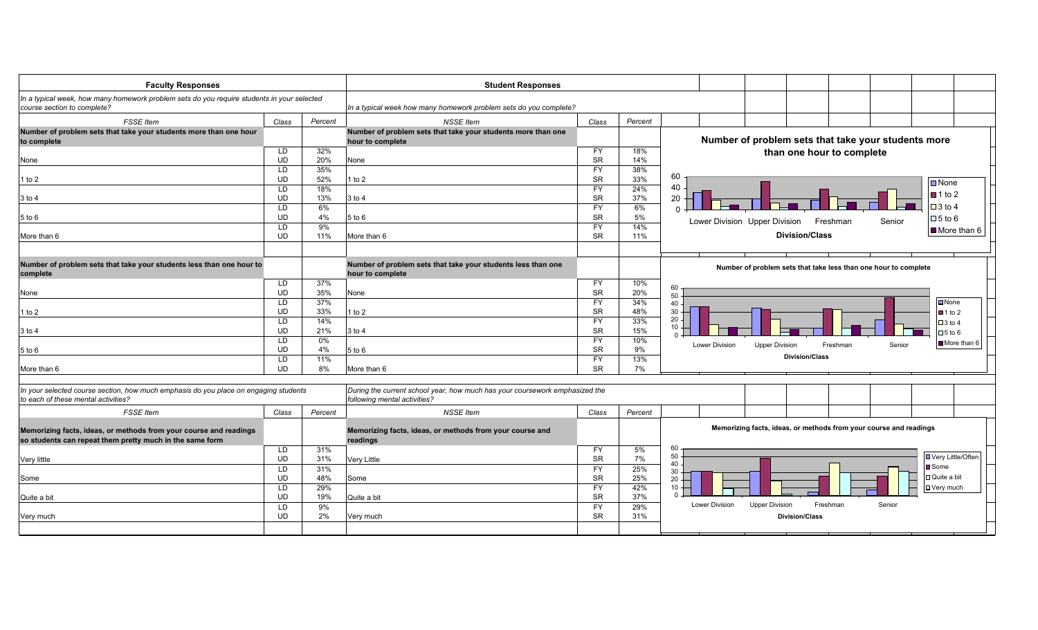| <b>Faculty Responses</b>                                                                                                      |                        |              | <b>Student Responses</b>                                                                                    |                        |            |                       |                                                                   |                           |        |                       |
|-------------------------------------------------------------------------------------------------------------------------------|------------------------|--------------|-------------------------------------------------------------------------------------------------------------|------------------------|------------|-----------------------|-------------------------------------------------------------------|---------------------------|--------|-----------------------|
| In a typical week, how many homework problem sets do you require students in your selected                                    |                        |              |                                                                                                             |                        |            |                       |                                                                   |                           |        |                       |
| course section to complete?                                                                                                   |                        |              | In a typical week how many homework problem sets do you complete?                                           |                        |            |                       |                                                                   |                           |        |                       |
| <b>FSSE</b> Item                                                                                                              | Class                  | Percent      | <b>NSSE Item</b>                                                                                            | Class                  | Percent    |                       |                                                                   |                           |        |                       |
| Number of problem sets that take your students more than one hour<br>to complete                                              |                        |              | Number of problem sets that take your students more than one<br>hour to complete                            |                        |            |                       | Number of problem sets that take your students more               |                           |        |                       |
|                                                                                                                               | LD                     | 32%          |                                                                                                             | <b>FY</b>              | 18%        |                       |                                                                   | than one hour to complete |        |                       |
| None                                                                                                                          | <b>UD</b>              | 20%          | None                                                                                                        | <b>SR</b>              | 14%        |                       |                                                                   |                           |        |                       |
|                                                                                                                               | LD                     | 35%          |                                                                                                             | <b>FY</b>              | 38%        |                       |                                                                   |                           |        |                       |
| 1 to 2                                                                                                                        | <b>UD</b>              | 52%          | l to 2                                                                                                      | <b>SR</b>              | 33%        | 60                    |                                                                   |                           |        | $\n  None\n$          |
|                                                                                                                               | <b>LD</b>              | 18%          |                                                                                                             | <b>FY</b>              | 24%        | 40                    |                                                                   |                           |        | $\blacksquare$ 1 to 2 |
| $3$ to 4                                                                                                                      | <b>UD</b>              | 13%          | $3$ to 4                                                                                                    | <b>SR</b>              | 37%        | 20                    |                                                                   |                           |        | $\Box$ 3 to 4         |
|                                                                                                                               | <b>LD</b><br><b>UD</b> | 6%<br>4%     | 5 to 6                                                                                                      | <b>FY</b><br><b>SR</b> | 6%<br>5%   |                       |                                                                   |                           |        |                       |
| $5$ to $6$                                                                                                                    | LD                     | 9%           |                                                                                                             | <b>FY</b>              | 14%        |                       | Lower Division Upper Division                                     | Freshman                  | Senior | $\Box$ 5 to 6         |
| More than 6                                                                                                                   | <b>UD</b>              | 11%          | More than 6                                                                                                 | <b>SR</b>              | 11%        |                       | <b>Division/Class</b>                                             |                           |        | More than 6           |
|                                                                                                                               |                        |              |                                                                                                             |                        |            |                       |                                                                   |                           |        |                       |
| Number of problem sets that take your students less than one hour to                                                          |                        |              | Number of problem sets that take your students less than one                                                |                        |            |                       |                                                                   |                           |        |                       |
| complete                                                                                                                      |                        |              | hour to complete                                                                                            |                        |            |                       | Number of problem sets that take less than one hour to complete   |                           |        |                       |
|                                                                                                                               | LD                     | 37%          |                                                                                                             | <b>FY</b>              | 10%        | 60                    |                                                                   |                           |        |                       |
| None                                                                                                                          | <b>UD</b>              | 35%          | None                                                                                                        | <b>SR</b>              | 20%        | 50                    |                                                                   |                           |        |                       |
|                                                                                                                               | LD                     | 37%          |                                                                                                             | <b>FY</b>              | 34%        | 40                    |                                                                   |                           |        | $\n  None\n$          |
| l to 2                                                                                                                        | <b>UD</b>              | 33%          | I to $2$                                                                                                    | <b>SR</b>              | 48%        | 30<br>20              |                                                                   |                           |        | $\blacksquare$ 1 to 2 |
|                                                                                                                               | <b>LD</b><br><b>UD</b> | 14%          |                                                                                                             | <b>FY</b><br><b>SR</b> | 33%        | 10                    |                                                                   |                           |        | $\Box$ 3 to 4         |
| $3$ to 4                                                                                                                      | LD                     | 21%<br>$0\%$ | 3 to 4                                                                                                      | <b>FY</b>              | 15%<br>10% |                       |                                                                   |                           |        | $\Box$ 5 to 6         |
| $5$ to $6$                                                                                                                    | <b>UD</b>              | 4%           | 5 to 6                                                                                                      | <b>SR</b>              | 9%         | <b>Lower Division</b> | <b>Upper Division</b>                                             | Freshman                  | Senior | More than 6           |
|                                                                                                                               | LD                     | 11%          |                                                                                                             | <b>FY</b>              | 13%        |                       | <b>Division/Class</b>                                             |                           |        |                       |
| More than 6                                                                                                                   | <b>UD</b>              | 8%           | More than 6                                                                                                 | <b>SR</b>              | 7%         |                       |                                                                   |                           |        |                       |
|                                                                                                                               |                        |              |                                                                                                             |                        |            |                       |                                                                   |                           |        |                       |
| In your selected course section, how much emphasis do you place on engaging students<br>to each of these mental activities?   |                        |              | During the current school year, how much has your coursework emphasized the<br>following mental activities? |                        |            |                       |                                                                   |                           |        |                       |
| <b>FSSE</b> Item                                                                                                              | Class                  | Percent      | <b>NSSE Item</b>                                                                                            | Class                  | Percent    |                       |                                                                   |                           |        |                       |
| Memorizing facts, ideas, or methods from your course and readings<br>so students can repeat them pretty much in the same form |                        |              | Memorizing facts, ideas, or methods from your course and<br>readings                                        |                        |            |                       | Memorizing facts, ideas, or methods from your course and readings |                           |        |                       |
|                                                                                                                               | <b>LD</b>              | 31%          |                                                                                                             | <b>FY</b>              | 5%         | 60<br>50              |                                                                   |                           |        | UVery Little/Often    |
| Very little                                                                                                                   | <b>UD</b>              | 31%          | Very Little                                                                                                 | <b>SR</b>              | 7%         | 40                    |                                                                   |                           |        | <b>■</b> Some         |
|                                                                                                                               | LD<br><b>UD</b>        | 31%          |                                                                                                             | <b>FY</b><br><b>SR</b> | 25%<br>25% | 30                    |                                                                   |                           |        | □ Quite a bit         |
| Some                                                                                                                          | LD                     | 48%<br>29%   | Some                                                                                                        | <b>FY</b>              | 42%        | 20<br>10              |                                                                   |                           |        | □ Very much           |
| Quite a bit                                                                                                                   | <b>UD</b>              | 19%          | Quite a bit                                                                                                 | <b>SR</b>              | 37%        |                       |                                                                   |                           |        |                       |
|                                                                                                                               | LD                     | 9%           |                                                                                                             | <b>FY</b>              | 29%        | <b>Lower Division</b> | <b>Upper Division</b>                                             | Freshman                  | Senior |                       |
| Very much                                                                                                                     | <b>UD</b>              | 2%           | Very much                                                                                                   | <b>SR</b>              | 31%        |                       | <b>Division/Class</b>                                             |                           |        |                       |
|                                                                                                                               |                        |              |                                                                                                             |                        |            |                       |                                                                   |                           |        |                       |
|                                                                                                                               |                        |              |                                                                                                             |                        |            |                       |                                                                   |                           |        |                       |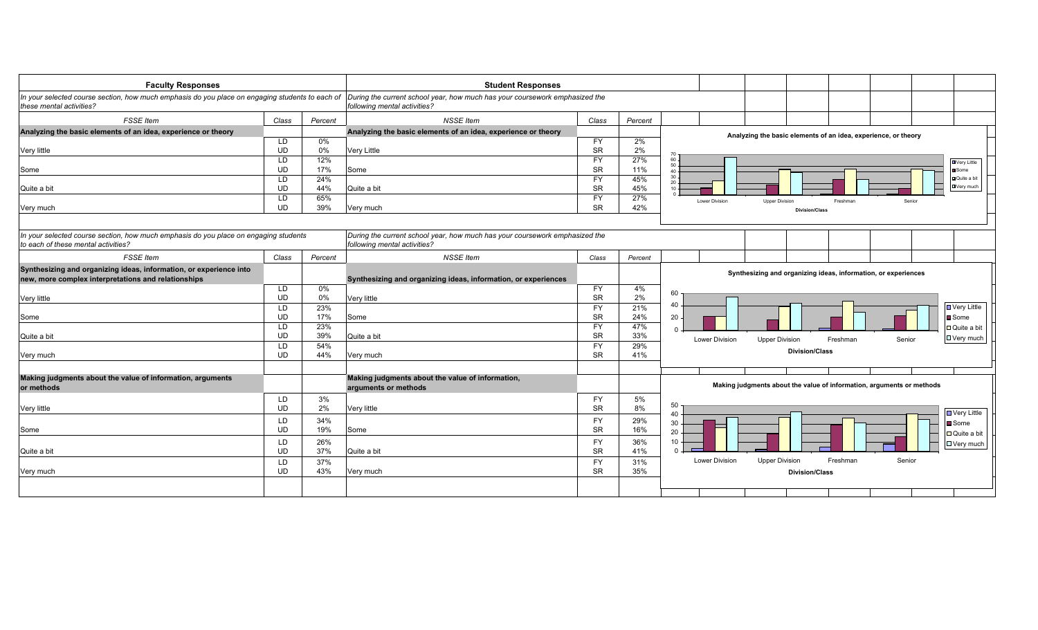| <b>Faculty Responses</b>                                                                                                    |                 |            | <b>Student Responses</b>                                                                                    |                        |            |                                                                                     |
|-----------------------------------------------------------------------------------------------------------------------------|-----------------|------------|-------------------------------------------------------------------------------------------------------------|------------------------|------------|-------------------------------------------------------------------------------------|
| In your selected course section, how much emphasis do you place on engaging students to each of<br>these mental activities? |                 |            | During the current school year, how much has your coursework emphasized the<br>following mental activities? |                        |            |                                                                                     |
| <b>FSSE</b> Item                                                                                                            | Class           | Percent    | <b>NSSE Item</b>                                                                                            | Class                  | Percent    |                                                                                     |
| Analyzing the basic elements of an idea, experience or theory                                                               |                 |            | Analyzing the basic elements of an idea, experience or theory                                               |                        |            | Analyzing the basic elements of an idea, experience, or theory                      |
|                                                                                                                             | LD              | 0%         |                                                                                                             | <b>FY</b>              | 2%         |                                                                                     |
| Very little                                                                                                                 | <b>UD</b>       | 0%         | Very Little                                                                                                 | <b>SR</b>              | 2%         | 60                                                                                  |
| Some                                                                                                                        | LD<br><b>UD</b> | 12%<br>17% | Some                                                                                                        | <b>FY</b><br><b>SR</b> | 27%<br>11% | <b>D</b> Very Little<br>50<br>Some                                                  |
|                                                                                                                             | LD              | 24%        |                                                                                                             | <b>FY</b>              | 45%        | $\Delta$<br>30<br>Quite a bit                                                       |
| Quite a bit                                                                                                                 | <b>UD</b>       | 44%        | Quite a bit                                                                                                 | <b>SR</b>              | 45%        | 20<br>Very much                                                                     |
|                                                                                                                             | LD              | 65%        |                                                                                                             | <b>FY</b>              | 27%        | <b>Lower Division</b><br><b>Upper Division</b><br>Freshman<br>Senior                |
| Very much                                                                                                                   | <b>UD</b>       | 39%        | Very much                                                                                                   | <b>SR</b>              | 42%        | <b>Division/Class</b>                                                               |
|                                                                                                                             |                 |            |                                                                                                             |                        |            |                                                                                     |
| In your selected course section, how much emphasis do you place on engaging students<br>to each of these mental activities? |                 |            | During the current school year, how much has your coursework emphasized the<br>following mental activities? |                        |            |                                                                                     |
| <b>FSSE</b> Item                                                                                                            | Class           | Percent    | <b>NSSE Item</b>                                                                                            | Class                  | Percent    |                                                                                     |
| Synthesizing and organizing ideas, information, or experience into<br>new, more complex interpretations and relationships   |                 |            | Synthesizing and organizing ideas, information, or experiences                                              |                        |            | Synthesizing and organizing ideas, information, or experiences                      |
|                                                                                                                             | LD.             | 0%         |                                                                                                             | <b>FY</b>              | 4%         | 60                                                                                  |
| Very little                                                                                                                 | UD              | 0%         | Very little                                                                                                 | <b>SR</b>              | 2%         | 40                                                                                  |
|                                                                                                                             | LD<br><b>UD</b> | 23%<br>17% |                                                                                                             | <b>FY</b><br><b>SR</b> | 21%<br>24% | ■ Very Little                                                                       |
| Some                                                                                                                        | LD              | 23%        | Some                                                                                                        | <b>FY</b>              | 47%        | 20<br>■Some                                                                         |
| Quite a bit                                                                                                                 | UD              | 39%        | Quite a bit                                                                                                 | <b>SR</b>              | 33%        | <b>□</b> Quite a bit<br>$\Omega$                                                    |
|                                                                                                                             | LD              | 54%        |                                                                                                             | <b>FY</b>              | 29%        | □ Very much<br><b>Lower Division</b><br><b>Upper Division</b><br>Freshman<br>Senior |
| Very much                                                                                                                   | <b>UD</b>       | 44%        | Very much                                                                                                   | <b>SR</b>              | 41%        | <b>Division/Class</b>                                                               |
|                                                                                                                             |                 |            |                                                                                                             |                        |            |                                                                                     |
| Making judgments about the value of information, arguments<br>or methods                                                    |                 |            | Making judgments about the value of information,<br>arguments or methods                                    |                        |            | Making judgments about the value of information, arguments or methods               |
|                                                                                                                             | <b>LD</b>       | 3%         |                                                                                                             | <b>FY</b>              | 5%         |                                                                                     |
| Very little                                                                                                                 | <b>UD</b>       | 2%         | Very little                                                                                                 | <b>SR</b>              | 8%         | 50<br>D Very Little<br>40                                                           |
|                                                                                                                             | LD              | 34%        |                                                                                                             | <b>FY</b>              | 29%        | 30<br>■ Some                                                                        |
| Some                                                                                                                        | <b>UD</b>       | 19%        | Some                                                                                                        | <b>SR</b>              | 16%        | 20<br>□ Quite a bit                                                                 |
|                                                                                                                             | LD              | 26%        |                                                                                                             | <b>FY</b>              | 36%        | 10<br>□ Very much                                                                   |
| Quite a bit                                                                                                                 | UD              | 37%        | Quite a bit                                                                                                 | <b>SR</b>              | 41%        | $\Omega$                                                                            |
|                                                                                                                             | LD              | 37%        |                                                                                                             | <b>FY</b>              | 31%        | <b>Lower Division</b><br><b>Upper Division</b><br>Freshman<br>Senior                |
| Very much                                                                                                                   | UD              | 43%        | Very much                                                                                                   | <b>SR</b>              | 35%        | <b>Division/Class</b>                                                               |
|                                                                                                                             |                 |            |                                                                                                             |                        |            |                                                                                     |
|                                                                                                                             |                 |            |                                                                                                             |                        |            |                                                                                     |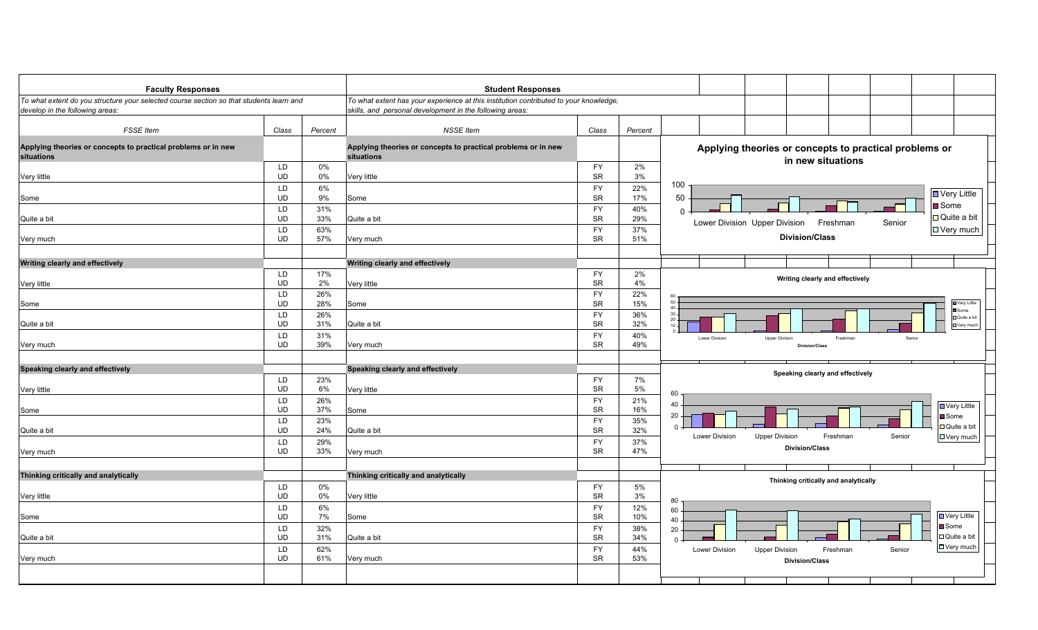| <b>Faculty Responses</b>                                                                                                   |                 |            | <b>Student Responses</b>                                                                                                                          |                        |             |                                                                                                           |
|----------------------------------------------------------------------------------------------------------------------------|-----------------|------------|---------------------------------------------------------------------------------------------------------------------------------------------------|------------------------|-------------|-----------------------------------------------------------------------------------------------------------|
| To what extent do you structure your selected course section so that students learn and<br>develop in the following areas: |                 |            | To what extent has your experience at this institution contributed to your knowledge,<br>skills, and personal development in the following areas: |                        |             |                                                                                                           |
| <b>FSSE</b> Item                                                                                                           | Class           | Percent    | <b>NSSE Item</b>                                                                                                                                  | Class                  | Percent     |                                                                                                           |
| Applying theories or concepts to practical problems or in new<br>situations                                                |                 |            | Applying theories or concepts to practical problems or in new<br>situations                                                                       |                        |             | Applying theories or concepts to practical problems or<br>in new situations                               |
| Very little                                                                                                                | LD<br><b>UD</b> | 0%<br>0%   | Very little                                                                                                                                       | <b>FY</b><br><b>SR</b> | 2%<br>3%    |                                                                                                           |
| Some                                                                                                                       | LD<br><b>UD</b> | 6%<br>9%   | Some                                                                                                                                              | <b>FY</b><br><b>SR</b> | 22%<br>17%  | 100<br>■ Very Little<br>50                                                                                |
| Quite a bit                                                                                                                | LD<br><b>UD</b> | 31%<br>33% | Quite a bit                                                                                                                                       | <b>FY</b><br><b>SR</b> | 40%<br>29%  | ■ Some<br>$\Omega$<br>□ Quite a bit<br>Lower Division Upper Division<br>Freshman<br>Senior                |
| Very much                                                                                                                  | LD<br><b>UD</b> | 63%<br>57% | Very much                                                                                                                                         | <b>FY</b><br><b>SR</b> | 37%<br>51%  | □ Very much<br><b>Division/Class</b>                                                                      |
| Writing clearly and effectively                                                                                            |                 |            | Writing clearly and effectively                                                                                                                   |                        |             |                                                                                                           |
| Very little                                                                                                                | LD<br><b>UD</b> | 17%<br>2%  | Very little                                                                                                                                       | <b>FY</b><br>SR        | 2%<br>4%    | Writing clearly and effectively                                                                           |
| Some                                                                                                                       | LD<br><b>UD</b> | 26%<br>28% | Some                                                                                                                                              | <b>FY</b><br><b>SR</b> | 22%<br>15%  | 50 <sub>1</sub><br>Very Little<br>40 <sub>1</sub><br>Some                                                 |
| Quite a bit                                                                                                                | LD<br><b>UD</b> | 26%<br>31% | Quite a bit                                                                                                                                       | <b>FY</b><br><b>SR</b> | 36%<br>32%  | 30<br><b>D</b> Quite a bi<br>$^{20}_{10}$<br>$\Box$ Very much                                             |
| Very much                                                                                                                  | LD<br><b>UD</b> | 31%<br>39% | Very much                                                                                                                                         | <b>FY</b><br><b>SR</b> | 40%<br>49%  | <b>Lower Division</b><br><b>Upper Division</b><br>Freshman<br>Senior<br><b>Division/Class</b>             |
| Speaking clearly and effectively                                                                                           |                 |            | Speaking clearly and effectively                                                                                                                  |                        |             | Speaking clearly and effectively                                                                          |
| Very little                                                                                                                | LD<br><b>UD</b> | 23%<br>6%  | Very little                                                                                                                                       | <b>FY</b><br><b>SR</b> | 7%<br>5%    | 60                                                                                                        |
| Some                                                                                                                       | LD<br><b>UD</b> | 26%<br>37% | Some                                                                                                                                              | <b>FY</b><br><b>SR</b> | 21%<br>16%  | 40<br>□ Very Little<br>20<br><b>■</b> Some                                                                |
| Quite a bit                                                                                                                | LD<br><b>UD</b> | 23%<br>24% | Quite a bit                                                                                                                                       | FY<br><b>SR</b>        | 35%<br>32%  | □ Quite a bit<br>$\Omega$<br>Lower Division<br><b>Upper Division</b><br>Senior<br>□ Very much<br>Freshman |
| Very much                                                                                                                  | LD<br><b>UD</b> | 29%<br>33% | Very much                                                                                                                                         | <b>FY</b><br><b>SR</b> | 37%<br>47%  | <b>Division/Class</b>                                                                                     |
| Thinking critically and analytically                                                                                       |                 |            | Thinking critically and analytically                                                                                                              |                        |             |                                                                                                           |
| Very little                                                                                                                | LD<br><b>UD</b> | 0%<br>0%   | Very little                                                                                                                                       | <b>FY</b><br><b>SR</b> | $5\%$<br>3% | Thinking critically and analytically                                                                      |
| Some                                                                                                                       | LD<br><b>UD</b> | 6%<br>7%   | Some                                                                                                                                              | <b>FY</b><br><b>SR</b> | 12%<br>10%  | 80<br>60<br><b>D</b> Very Little                                                                          |
| Quite a bit                                                                                                                | LD<br><b>UD</b> | 32%<br>31% | Quite a bit                                                                                                                                       | <b>FY</b><br>SR        | 38%<br>34%  | 40<br><b>■</b> Some<br>20<br>$\Box$ Quite a bit<br>$\Omega$                                               |
| Very much                                                                                                                  | LD<br><b>UD</b> | 62%<br>61% | Very much                                                                                                                                         | <b>FY</b><br><b>SR</b> | 44%<br>53%  | <b>D</b> Very much<br><b>Upper Division</b><br>Lower Division<br>Freshman<br>Senior                       |
|                                                                                                                            |                 |            |                                                                                                                                                   |                        |             | <b>Division/Class</b>                                                                                     |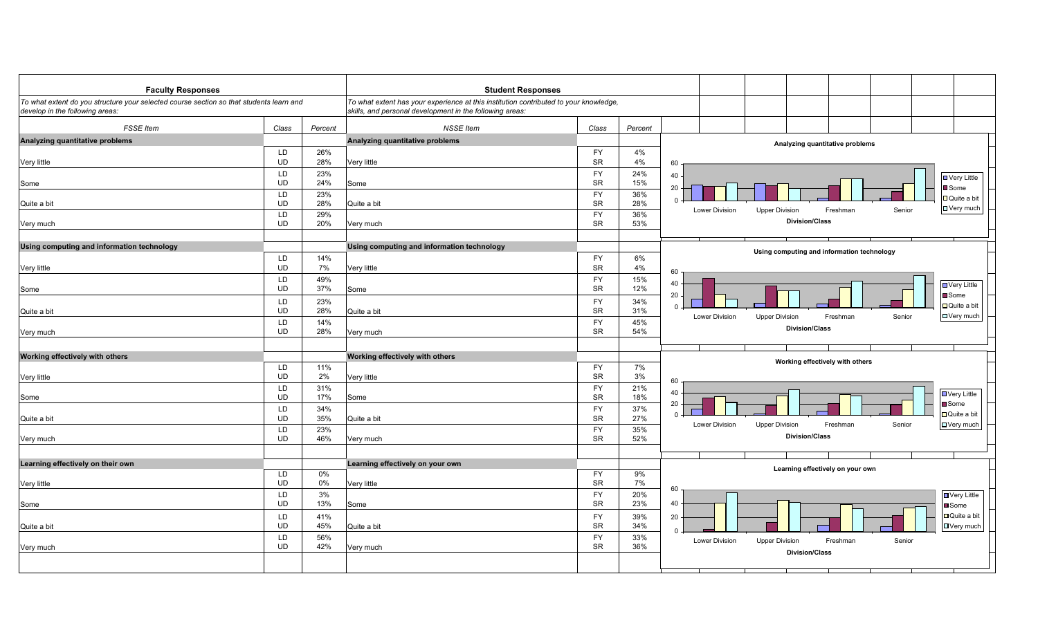| <b>Faculty Responses</b>                                                                                                   |                 |                                                                                                                                                   | <b>Student Responses</b>                   |                        |            |                |                                                            |        |                                |
|----------------------------------------------------------------------------------------------------------------------------|-----------------|---------------------------------------------------------------------------------------------------------------------------------------------------|--------------------------------------------|------------------------|------------|----------------|------------------------------------------------------------|--------|--------------------------------|
| To what extent do you structure your selected course section so that students learn and<br>develop in the following areas: |                 | To what extent has your experience at this institution contributed to your knowledge,<br>skills, and personal development in the following areas: |                                            |                        |            |                |                                                            |        |                                |
| <b>FSSE</b> Item                                                                                                           | Class           | Percent                                                                                                                                           | <b>NSSE Item</b>                           | Class                  | Percent    |                |                                                            |        |                                |
| Analyzing quantitative problems                                                                                            |                 |                                                                                                                                                   | Analyzing quantitative problems            |                        |            |                | Analyzing quantitative problems                            |        |                                |
|                                                                                                                            | LD              | 26%                                                                                                                                               |                                            | <b>FY</b>              | 4%         |                |                                                            |        |                                |
| Very little                                                                                                                | <b>UD</b>       | 28%                                                                                                                                               | Very little                                | <b>SR</b>              | 4%         | 60             |                                                            |        |                                |
|                                                                                                                            | LD<br><b>UD</b> | 23%<br>24%                                                                                                                                        | Some                                       | <b>FY</b><br><b>SR</b> | 24%<br>15% | 40             |                                                            |        | <b>D</b> Very Little           |
| Some                                                                                                                       | LD              | 23%                                                                                                                                               |                                            | <b>FY</b>              | 36%        | 20             |                                                            |        | ■Some                          |
| Quite a bit                                                                                                                | <b>UD</b>       | 28%                                                                                                                                               | Quite a bit                                | <b>SR</b>              | 28%        | $\Omega$       |                                                            |        | □ Quite a bit<br>□ Very much   |
|                                                                                                                            | LD              | 29%                                                                                                                                               |                                            | <b>FY</b>              | 36%        | Lower Division | <b>Upper Division</b><br>Freshman                          | Senior |                                |
| Very much                                                                                                                  | <b>UD</b>       | 20%                                                                                                                                               | Very much                                  | <b>SR</b>              | 53%        |                | <b>Division/Class</b>                                      |        |                                |
| Using computing and information technology                                                                                 |                 |                                                                                                                                                   | Using computing and information technology |                        |            |                |                                                            |        |                                |
|                                                                                                                            | LD              | 14%                                                                                                                                               |                                            | <b>FY</b>              | 6%         |                | Using computing and information technology                 |        |                                |
| Very little                                                                                                                | <b>UD</b>       | 7%                                                                                                                                                | Very little                                | <b>SR</b>              | 4%         | 60             |                                                            |        |                                |
|                                                                                                                            | LD              | 49%                                                                                                                                               |                                            | <b>FY</b>              | 15%        | 40             |                                                            |        |                                |
| Some                                                                                                                       | <b>UD</b>       | 37%                                                                                                                                               | Some                                       | <b>SR</b>              | 12%        | 20             |                                                            |        | ■ Very Little<br>■ Some        |
|                                                                                                                            | LD              | 23%                                                                                                                                               |                                            | <b>FY</b>              | 34%        | $\Omega$       |                                                            |        | □ Quite a bit                  |
| Quite a bit                                                                                                                | <b>UD</b>       | 28%                                                                                                                                               | Quite a bit                                | <b>SR</b>              | 31%        | Lower Division | <b>Upper Division</b><br>Freshman                          | Senior | $\Box$ Very much               |
| Very much                                                                                                                  | LD<br>UD        | 14%<br>28%                                                                                                                                        | Very much                                  | <b>FY</b><br><b>SR</b> | 45%<br>54% |                | <b>Division/Class</b>                                      |        |                                |
|                                                                                                                            |                 |                                                                                                                                                   |                                            |                        |            |                |                                                            |        |                                |
| Working effectively with others                                                                                            |                 |                                                                                                                                                   | Working effectively with others            |                        |            |                |                                                            |        |                                |
|                                                                                                                            | <b>LD</b>       | 11%                                                                                                                                               |                                            | <b>FY</b>              | 7%         |                | Working effectively with others                            |        |                                |
| Very little                                                                                                                | <b>UD</b>       | 2%                                                                                                                                                | Very little                                | <b>SR</b>              | 3%         | 60             |                                                            |        |                                |
|                                                                                                                            | LD              | 31%                                                                                                                                               |                                            | <b>FY</b>              | 21%        | 40             |                                                            |        | ■ Very Little                  |
| Some                                                                                                                       | <b>UD</b>       | 17%                                                                                                                                               | Some                                       | <b>SR</b>              | 18%        | 20             |                                                            |        | <b>■</b> Some                  |
| Quite a bit                                                                                                                | LD<br><b>UD</b> | 34%<br>35%                                                                                                                                        | Quite a bit                                | <b>FY</b><br><b>SR</b> | 37%<br>27% | $\Omega$       |                                                            |        | $\Box$ Quite a bit             |
|                                                                                                                            | LD              | 23%                                                                                                                                               |                                            | <b>FY</b>              | 35%        | Lower Division | <b>Upper Division</b><br>Freshman                          | Senior | □ Very much                    |
| Very much                                                                                                                  | <b>UD</b>       | 46%                                                                                                                                               | Very much                                  | <b>SR</b>              | 52%        |                | <b>Division/Class</b>                                      |        |                                |
|                                                                                                                            |                 |                                                                                                                                                   |                                            |                        |            |                |                                                            |        |                                |
| Learning effectively on their own                                                                                          |                 |                                                                                                                                                   | Learning effectively on your own           |                        |            |                |                                                            |        |                                |
|                                                                                                                            | <b>LD</b>       | 0%                                                                                                                                                |                                            | <b>FY</b>              | 9%         |                | Learning effectively on your own                           |        |                                |
| Very little                                                                                                                | UD              | 0%                                                                                                                                                | Very little                                | <b>SR</b>              | 7%         | 60             |                                                            |        |                                |
|                                                                                                                            | LD<br><b>UD</b> | 3%<br>13%                                                                                                                                         |                                            | <b>FY</b><br><b>SR</b> | 20%<br>23% | 40             |                                                            |        | <b>U</b> Very Little           |
| Some                                                                                                                       | <b>LD</b>       | 41%                                                                                                                                               | Some                                       | <b>FY</b>              |            |                |                                                            |        | <b>■</b> Some<br>□ Quite a bit |
| Quite a bit                                                                                                                | UD              | 45%                                                                                                                                               | Quite a bit                                | <b>SR</b>              | 39%<br>34% | 20             |                                                            |        | □ Very much                    |
|                                                                                                                            | LD              | 56%                                                                                                                                               |                                            | <b>FY</b>              | 33%        |                |                                                            |        |                                |
| Very much                                                                                                                  | UD              | 42%                                                                                                                                               | Very much                                  | <b>SR</b>              | 36%        | Lower Division | <b>Upper Division</b><br>Freshman<br><b>Division/Class</b> | Senior |                                |
|                                                                                                                            |                 |                                                                                                                                                   |                                            |                        |            |                |                                                            |        |                                |
|                                                                                                                            |                 |                                                                                                                                                   |                                            |                        |            |                |                                                            |        |                                |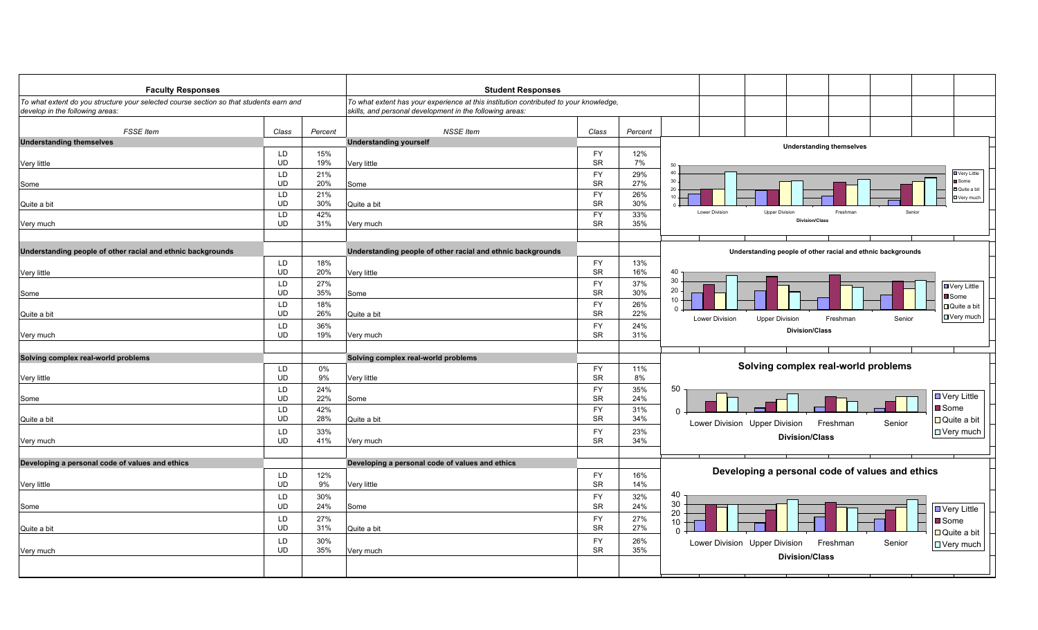| <b>Faculty Responses</b>                                                                                                  |                 |            | <b>Student Responses</b>                                                                                                                          |                        |            |                                                                              |  |  |
|---------------------------------------------------------------------------------------------------------------------------|-----------------|------------|---------------------------------------------------------------------------------------------------------------------------------------------------|------------------------|------------|------------------------------------------------------------------------------|--|--|
| To what extent do you structure your selected course section so that students earn and<br>develop in the following areas: |                 |            | To what extent has your experience at this institution contributed to your knowledge,<br>skills, and personal development in the following areas: |                        |            |                                                                              |  |  |
| <b>FSSE</b> Item                                                                                                          | Class           | Percent    | <b>NSSE</b> Item                                                                                                                                  | Class                  | Percent    |                                                                              |  |  |
| <b>Understanding themselves</b>                                                                                           |                 |            | <b>Understanding yourself</b>                                                                                                                     |                        |            | <b>Understanding themselves</b>                                              |  |  |
|                                                                                                                           | LD              | 15%        |                                                                                                                                                   | <b>FY</b>              | 12%        |                                                                              |  |  |
| Very little                                                                                                               | UD              | 19%        | Very little                                                                                                                                       | <b>SR</b>              | 7%         | 50                                                                           |  |  |
|                                                                                                                           | LD              | 21%        |                                                                                                                                                   | <b>FY</b>              | 29%        | 40<br><b>D</b> Very Little<br>$30 -$<br>Some                                 |  |  |
| Some                                                                                                                      | <b>UD</b><br>LD | 20%<br>21% | Some                                                                                                                                              | <b>SR</b><br><b>FY</b> | 27%        | 20<br>Quite a bit                                                            |  |  |
| Quite a bit                                                                                                               | <b>UD</b>       | 30%        | Quite a bit                                                                                                                                       | <b>SR</b>              | 26%<br>30% | $10 -$<br><b>DVery much</b>                                                  |  |  |
|                                                                                                                           | LD              | 42%        |                                                                                                                                                   | <b>FY</b>              | 33%        | <b>Upper Division</b><br>Lower Division<br>Freshman<br>Senior                |  |  |
| Very much                                                                                                                 | <b>UD</b>       | 31%        | Very much                                                                                                                                         | <b>SR</b>              | 35%        | <b>Division/Class</b>                                                        |  |  |
|                                                                                                                           |                 |            |                                                                                                                                                   |                        |            |                                                                              |  |  |
| Understanding people of other racial and ethnic backgrounds                                                               |                 |            | Understanding people of other racial and ethnic backgrounds                                                                                       |                        |            | Understanding people of other racial and ethnic backgrounds                  |  |  |
|                                                                                                                           | LD              | 18%        |                                                                                                                                                   | <b>FY</b>              | 13%        |                                                                              |  |  |
| Very little                                                                                                               | <b>UD</b>       | 20%        | Very little                                                                                                                                       | <b>SR</b>              | 16%        | 40                                                                           |  |  |
|                                                                                                                           | LD              | 27%        |                                                                                                                                                   | <b>FY</b>              | 37%        | 30<br>■ Very Little                                                          |  |  |
| Some                                                                                                                      | <b>UD</b>       | 35%        | Some                                                                                                                                              | <b>SR</b>              | 30%        | 20<br>Some<br>10                                                             |  |  |
|                                                                                                                           | LD              | 18%        |                                                                                                                                                   | <b>FY</b>              | 26%        | $\Box$ Quite a bit<br>$\Omega$                                               |  |  |
| Quite a bit                                                                                                               | <b>UD</b>       | 26%        | Quite a bit                                                                                                                                       | <b>SR</b>              | 22%        | □ Very much<br>Lower Division<br><b>Upper Division</b><br>Freshman<br>Senior |  |  |
| Very much                                                                                                                 | LD<br><b>UD</b> | 36%<br>19% | Very much                                                                                                                                         | <b>FY</b><br><b>SR</b> | 24%<br>31% | <b>Division/Class</b>                                                        |  |  |
|                                                                                                                           |                 |            |                                                                                                                                                   |                        |            |                                                                              |  |  |
| Solving complex real-world problems                                                                                       |                 |            | Solving complex real-world problems                                                                                                               |                        |            |                                                                              |  |  |
|                                                                                                                           | LD              | 0%         |                                                                                                                                                   | <b>FY</b>              | 11%        | Solving complex real-world problems                                          |  |  |
| Very little                                                                                                               | <b>UD</b>       | 9%         | Very little                                                                                                                                       | <b>SR</b>              | 8%         |                                                                              |  |  |
|                                                                                                                           | LD              | 24%        |                                                                                                                                                   | <b>FY</b>              | 35%        | 50                                                                           |  |  |
| Some                                                                                                                      | <b>UD</b>       | 22%        | Some                                                                                                                                              | <b>SR</b>              | 24%        | D Very Little                                                                |  |  |
|                                                                                                                           | LD              | 42%        |                                                                                                                                                   | <b>FY</b>              | 31%        | <b>■</b> Some<br>$\Omega$                                                    |  |  |
| Quite a bit                                                                                                               | <b>UD</b>       | 28%        | Quite a bit                                                                                                                                       | <b>SR</b>              | 34%        | $\Box$ Quite a bit<br>Lower Division Upper Division<br>Freshman<br>Senior    |  |  |
| Very much                                                                                                                 | LD<br><b>UD</b> | 33%<br>41% | Very much                                                                                                                                         | <b>FY</b><br><b>SR</b> | 23%<br>34% | $\Box$ Very much<br><b>Division/Class</b>                                    |  |  |
|                                                                                                                           |                 |            |                                                                                                                                                   |                        |            |                                                                              |  |  |
| Developing a personal code of values and ethics                                                                           |                 |            | Developing a personal code of values and ethics                                                                                                   |                        |            |                                                                              |  |  |
|                                                                                                                           | <b>LD</b>       | 12%        |                                                                                                                                                   | <b>FY</b>              | 16%        | Developing a personal code of values and ethics                              |  |  |
| Very little                                                                                                               | <b>UD</b>       | 9%         | Very little                                                                                                                                       | <b>SR</b>              | 14%        |                                                                              |  |  |
|                                                                                                                           | LD              | 30%        |                                                                                                                                                   | <b>FY</b>              | 32%        | 40                                                                           |  |  |
| Some                                                                                                                      | <b>UD</b>       | 24%        | Some                                                                                                                                              | <b>SR</b>              | 24%        | 30<br>D Very Little                                                          |  |  |
|                                                                                                                           | LD              | 27%        |                                                                                                                                                   | <b>FY</b>              | 27%        | $20\,$<br><b>■</b> Some<br>10                                                |  |  |
| Quite a bit                                                                                                               | <b>UD</b>       | 31%        | Quite a bit                                                                                                                                       | <b>SR</b>              | 27%        | $\Box$ Quite a bit                                                           |  |  |
|                                                                                                                           | LD              | 30%        |                                                                                                                                                   | <b>FY</b>              | 26%        | Lower Division Upper Division<br>Freshman<br>Senior<br>□ Very much           |  |  |
| Very much                                                                                                                 | <b>UD</b>       | 35%        | Very much                                                                                                                                         | <b>SR</b>              | 35%        | <b>Division/Class</b>                                                        |  |  |
|                                                                                                                           |                 |            |                                                                                                                                                   |                        |            |                                                                              |  |  |
|                                                                                                                           |                 |            |                                                                                                                                                   |                        |            |                                                                              |  |  |